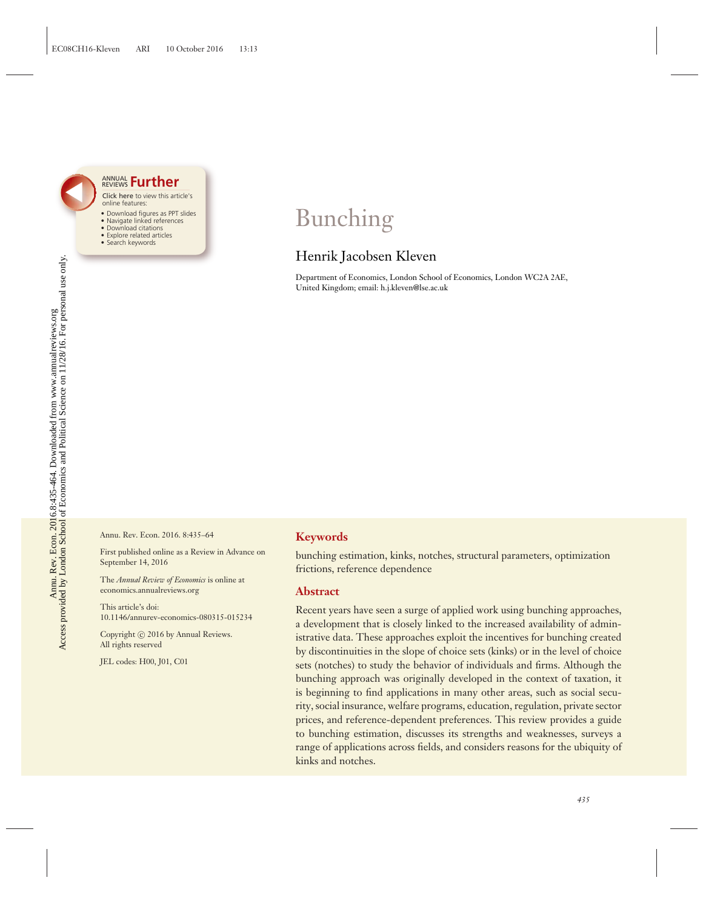

#### Click here to view this article's online features: ANNUAL REVIEWS **[Further](http://www.annualreviews.org/doi/full/10.1146/annurev-economics-080315-015234)**

- Download figures as PPT slides
- Navigate linked references • Download citations
- Explore related articles
- Search keywords

# Bunching

### Henrik Jacobsen Kleven

Department of Economics, London School of Economics, London WC2A 2AE, United Kingdom; email: h.j.kleven@lse.ac.uk

Annu. Rev. Econ. 2016. 8:435–64

First published online as a Review in Advance on September 14, 2016

The *Annual Review of Economics* is online at economics.annualreviews.org

This article's doi: 10.1146/annurev-economics-080315-015234

Copyright © 2016 by Annual Reviews. All rights reserved

JEL codes: H00, J01, C01

#### **Keywords**

bunching estimation, kinks, notches, structural parameters, optimization frictions, reference dependence

#### **Abstract**

Recent years have seen a surge of applied work using bunching approaches, a development that is closely linked to the increased availability of administrative data. These approaches exploit the incentives for bunching created by discontinuities in the slope of choice sets (kinks) or in the level of choice sets (notches) to study the behavior of individuals and firms. Although the bunching approach was originally developed in the context of taxation, it is beginning to find applications in many other areas, such as social security, social insurance, welfare programs, education, regulation, private sector prices, and reference-dependent preferences. This review provides a guide to bunching estimation, discusses its strengths and weaknesses, surveys a range of applications across fields, and considers reasons for the ubiquity of kinks and notches.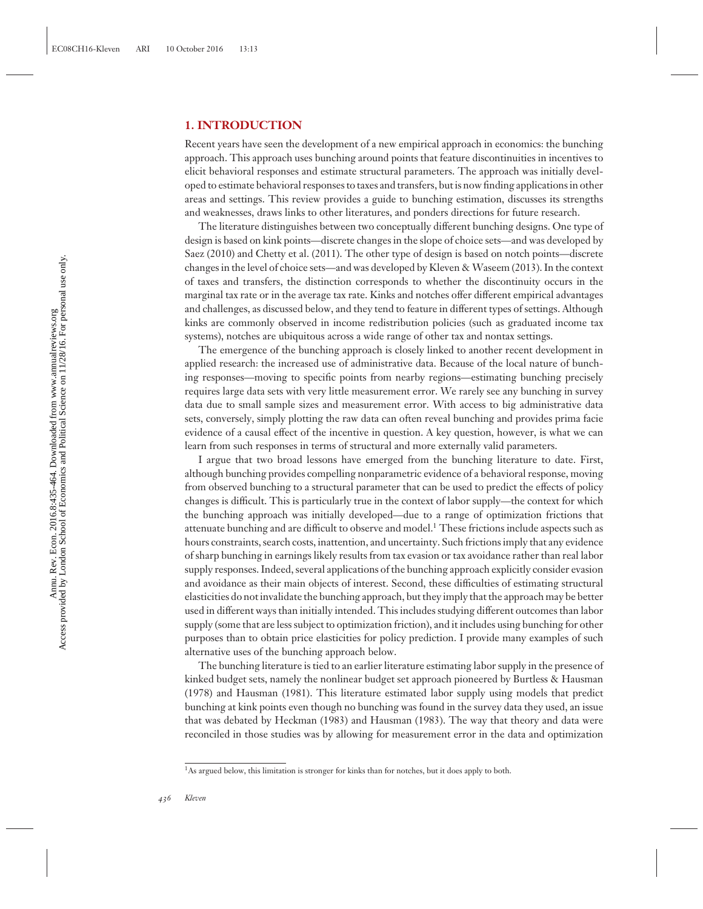#### **1. INTRODUCTION**

Recent years have seen the development of a new empirical approach in economics: the bunching approach. This approach uses bunching around points that feature discontinuities in incentives to elicit behavioral responses and estimate structural parameters. The approach was initially developed to estimate behavioral responses to taxes and transfers, but is now finding applications in other areas and settings. This review provides a guide to bunching estimation, discusses its strengths and weaknesses, draws links to other literatures, and ponders directions for future research.

The literature distinguishes between two conceptually different bunching designs. One type of design is based on kink points—discrete changes in the slope of choice sets—and was developed by Saez (2010) and Chetty et al. (2011). The other type of design is based on notch points—discrete changes in the level of choice sets—and was developed by Kleven & Waseem (2013). In the context of taxes and transfers, the distinction corresponds to whether the discontinuity occurs in the marginal tax rate or in the average tax rate. Kinks and notches offer different empirical advantages and challenges, as discussed below, and they tend to feature in different types of settings. Although kinks are commonly observed in income redistribution policies (such as graduated income tax systems), notches are ubiquitous across a wide range of other tax and nontax settings.

The emergence of the bunching approach is closely linked to another recent development in applied research: the increased use of administrative data. Because of the local nature of bunching responses—moving to specific points from nearby regions—estimating bunching precisely requires large data sets with very little measurement error. We rarely see any bunching in survey data due to small sample sizes and measurement error. With access to big administrative data sets, conversely, simply plotting the raw data can often reveal bunching and provides prima facie evidence of a causal effect of the incentive in question. A key question, however, is what we can learn from such responses in terms of structural and more externally valid parameters.

I argue that two broad lessons have emerged from the bunching literature to date. First, although bunching provides compelling nonparametric evidence of a behavioral response, moving from observed bunching to a structural parameter that can be used to predict the effects of policy changes is difficult. This is particularly true in the context of labor supply—the context for which the bunching approach was initially developed—due to a range of optimization frictions that attenuate bunching and are difficult to observe and model.<sup>1</sup> These frictions include aspects such as hours constraints, search costs, inattention, and uncertainty. Such frictions imply that any evidence of sharp bunching in earnings likely results from tax evasion or tax avoidance rather than real labor supply responses. Indeed, several applications of the bunching approach explicitly consider evasion and avoidance as their main objects of interest. Second, these difficulties of estimating structural elasticities do not invalidate the bunching approach, but they imply that the approach may be better used in different ways than initially intended. This includes studying different outcomes than labor supply (some that are less subject to optimization friction), and it includes using bunching for other purposes than to obtain price elasticities for policy prediction. I provide many examples of such alternative uses of the bunching approach below.

The bunching literature is tied to an earlier literature estimating labor supply in the presence of kinked budget sets, namely the nonlinear budget set approach pioneered by Burtless & Hausman (1978) and Hausman (1981). This literature estimated labor supply using models that predict bunching at kink points even though no bunching was found in the survey data they used, an issue that was debated by Heckman (1983) and Hausman (1983). The way that theory and data were reconciled in those studies was by allowing for measurement error in the data and optimization

 $<sup>1</sup>$ As argued below, this limitation is stronger for kinks than for notches, but it does apply to both.</sup>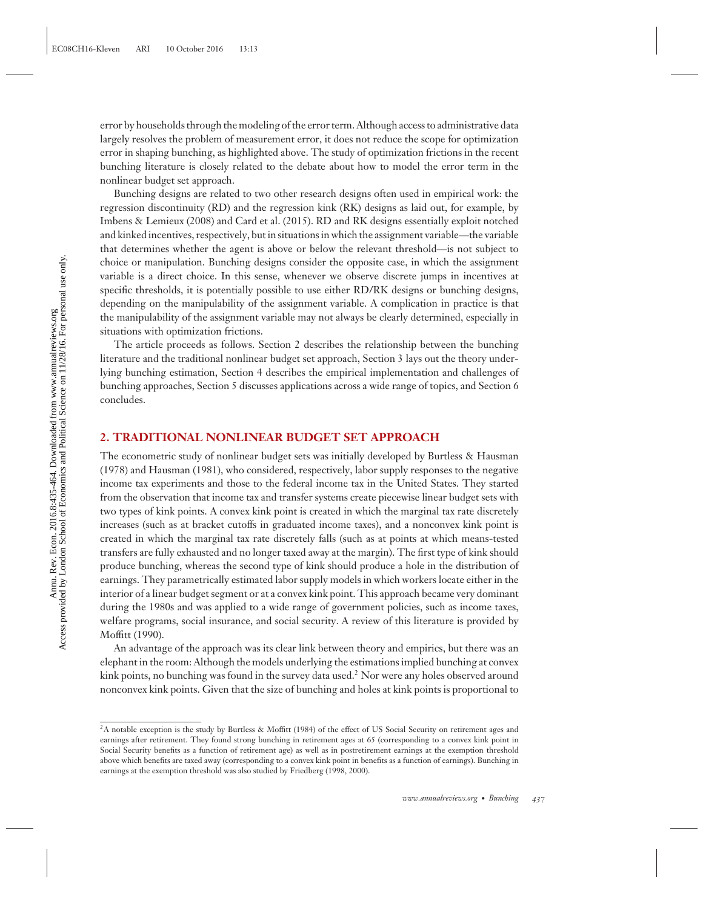error by households through the modeling of the error term. Although access to administrative data largely resolves the problem of measurement error, it does not reduce the scope for optimization error in shaping bunching, as highlighted above. The study of optimization frictions in the recent bunching literature is closely related to the debate about how to model the error term in the nonlinear budget set approach.

Bunching designs are related to two other research designs often used in empirical work: the regression discontinuity (RD) and the regression kink (RK) designs as laid out, for example, by Imbens & Lemieux (2008) and Card et al. (2015). RD and RK designs essentially exploit notched and kinked incentives, respectively, but in situations in which the assignment variable—the variable that determines whether the agent is above or below the relevant threshold—is not subject to choice or manipulation. Bunching designs consider the opposite case, in which the assignment variable is a direct choice. In this sense, whenever we observe discrete jumps in incentives at specific thresholds, it is potentially possible to use either RD/RK designs or bunching designs, depending on the manipulability of the assignment variable. A complication in practice is that the manipulability of the assignment variable may not always be clearly determined, especially in situations with optimization frictions.

The article proceeds as follows. Section 2 describes the relationship between the bunching literature and the traditional nonlinear budget set approach, Section 3 lays out the theory underlying bunching estimation, Section 4 describes the empirical implementation and challenges of bunching approaches, Section 5 discusses applications across a wide range of topics, and Section 6 concludes.

#### **2. TRADITIONAL NONLINEAR BUDGET SET APPROACH**

The econometric study of nonlinear budget sets was initially developed by Burtless & Hausman (1978) and Hausman (1981), who considered, respectively, labor supply responses to the negative income tax experiments and those to the federal income tax in the United States. They started from the observation that income tax and transfer systems create piecewise linear budget sets with two types of kink points. A convex kink point is created in which the marginal tax rate discretely increases (such as at bracket cutoffs in graduated income taxes), and a nonconvex kink point is created in which the marginal tax rate discretely falls (such as at points at which means-tested transfers are fully exhausted and no longer taxed away at the margin). The first type of kink should produce bunching, whereas the second type of kink should produce a hole in the distribution of earnings. They parametrically estimated labor supply models in which workers locate either in the interior of a linear budget segment or at a convex kink point. This approach became very dominant during the 1980s and was applied to a wide range of government policies, such as income taxes, welfare programs, social insurance, and social security. A review of this literature is provided by Moffitt (1990).

An advantage of the approach was its clear link between theory and empirics, but there was an elephant in the room: Although the models underlying the estimations implied bunching at convex kink points, no bunching was found in the survey data used.<sup>2</sup> Nor were any holes observed around nonconvex kink points. Given that the size of bunching and holes at kink points is proportional to

<sup>&</sup>lt;sup>2</sup>A notable exception is the study by Burtless & Moffitt (1984) of the effect of US Social Security on retirement ages and earnings after retirement. They found strong bunching in retirement ages at 65 (corresponding to a convex kink point in Social Security benefits as a function of retirement age) as well as in postretirement earnings at the exemption threshold above which benefits are taxed away (corresponding to a convex kink point in benefits as a function of earnings). Bunching in earnings at the exemption threshold was also studied by Friedberg (1998, 2000).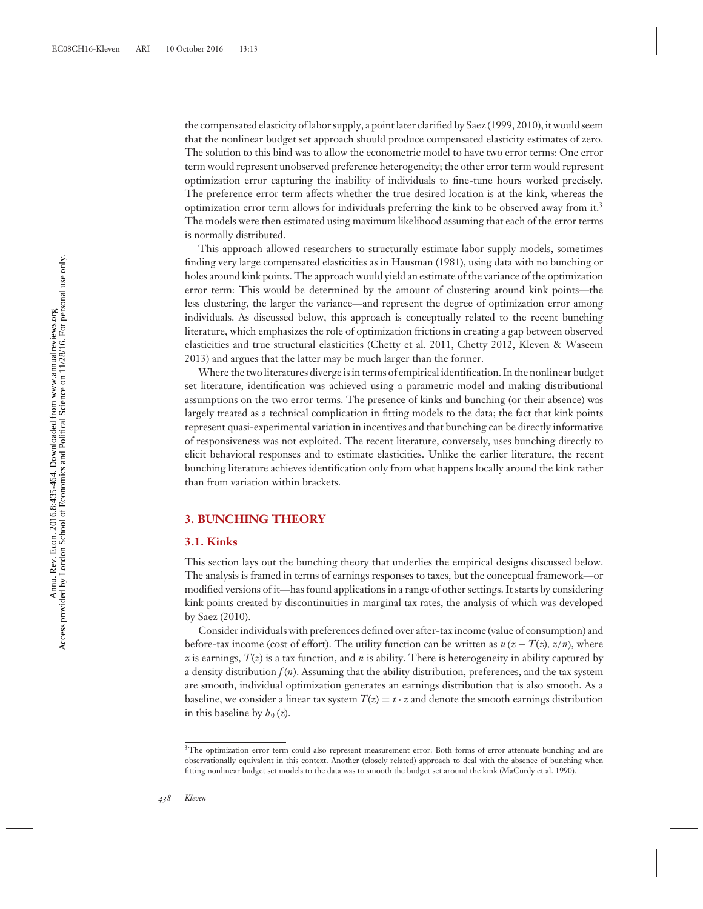the compensated elasticity of labor supply, a point later clarified by Saez (1999, 2010), it would seem that the nonlinear budget set approach should produce compensated elasticity estimates of zero. The solution to this bind was to allow the econometric model to have two error terms: One error term would represent unobserved preference heterogeneity; the other error term would represent optimization error capturing the inability of individuals to fine-tune hours worked precisely. The preference error term affects whether the true desired location is at the kink, whereas the optimization error term allows for individuals preferring the kink to be observed away from it.<sup>3</sup> The models were then estimated using maximum likelihood assuming that each of the error terms is normally distributed.

This approach allowed researchers to structurally estimate labor supply models, sometimes finding very large compensated elasticities as in Hausman (1981), using data with no bunching or holes around kink points. The approach would yield an estimate of the variance of the optimization error term: This would be determined by the amount of clustering around kink points—the less clustering, the larger the variance—and represent the degree of optimization error among individuals. As discussed below, this approach is conceptually related to the recent bunching literature, which emphasizes the role of optimization frictions in creating a gap between observed elasticities and true structural elasticities (Chetty et al. 2011, Chetty 2012, Kleven & Waseem 2013) and argues that the latter may be much larger than the former.

Where the two literatures diverge is in terms of empirical identification. In the nonlinear budget set literature, identification was achieved using a parametric model and making distributional assumptions on the two error terms. The presence of kinks and bunching (or their absence) was largely treated as a technical complication in fitting models to the data; the fact that kink points represent quasi-experimental variation in incentives and that bunching can be directly informative of responsiveness was not exploited. The recent literature, conversely, uses bunching directly to elicit behavioral responses and to estimate elasticities. Unlike the earlier literature, the recent bunching literature achieves identification only from what happens locally around the kink rather than from variation within brackets.

#### **3. BUNCHING THEORY**

#### **3.1. Kinks**

This section lays out the bunching theory that underlies the empirical designs discussed below. The analysis is framed in terms of earnings responses to taxes, but the conceptual framework—or modified versions of it—has found applications in a range of other settings. It starts by considering kink points created by discontinuities in marginal tax rates, the analysis of which was developed by Saez (2010).

Consider individuals with preferences defined over after-tax income (value of consumption) and before-tax income (cost of effort). The utility function can be written as  $u(z - T(z), z/n)$ , where *z* is earnings,  $T(z)$  is a tax function, and *n* is ability. There is heterogeneity in ability captured by a density distribution  $f(n)$ . Assuming that the ability distribution, preferences, and the tax system are smooth, individual optimization generates an earnings distribution that is also smooth. As a baseline, we consider a linear tax system  $T(z) = t \cdot z$  and denote the smooth earnings distribution in this baseline by  $h_0(z)$ .

<sup>&</sup>lt;sup>3</sup>The optimization error term could also represent measurement error: Both forms of error attenuate bunching and are observationally equivalent in this context. Another (closely related) approach to deal with the absence of bunching when fitting nonlinear budget set models to the data was to smooth the budget set around the kink (MaCurdy et al. 1990).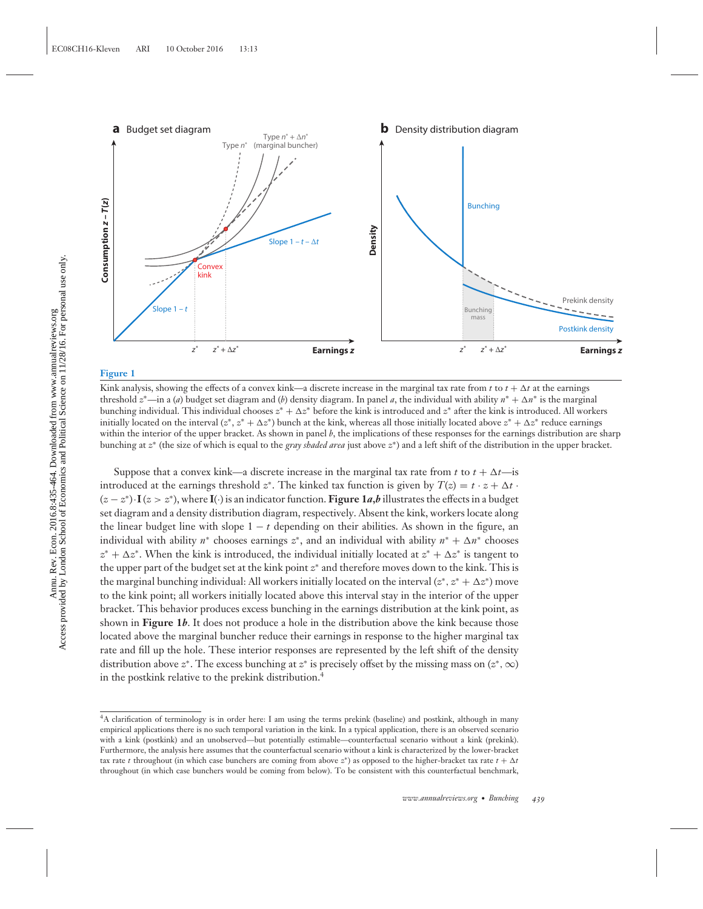

#### **Figure 1**

Kink analysis, showing the effects of a convex kink—a discrete increase in the marginal tax rate from  $t$  to  $t+\Delta t$  at the earnings threshold *z*∗—in a (*a*) budget set diagram and (*b*) density diagram. In panel *a*, the individual with ability *n*<sup>∗</sup> + -*n*<sup>∗</sup> is the marginal bunching individual. This individual chooses  $z^* + \Delta z^*$  before the kink is introduced and  $z^*$  after the kink is introduced. All workers initially located on the interval  $(z^*, z^* + \Delta z^*)$  bunch at the kink, whereas all those initially located above  $z^* + \Delta z^*$  reduce earnings within the interior of the upper bracket. As shown in panel *b*, the implications of these responses for the earnings distribution are sharp bunching at *z*<sup>∗</sup> (the size of which is equal to the *gray shaded area* just above *z*∗) and a left shift of the distribution in the upper bracket.

Suppose that a convex kink—a discrete increase in the marginal tax rate from *t* to  $t + \Delta t$ —is introduced at the earnings threshold  $z^*$ . The kinked tax function is given by  $T(z) = t \cdot z + \Delta t$ . (*z* − *z*<sup>∗</sup>)·**I** (*z* > *z*<sup>∗</sup>), where **I**(·) is an indicator function. **Figure 1***a***,***b* illustrates the effects in a budget set diagram and a density distribution diagram, respectively. Absent the kink, workers locate along the linear budget line with slope  $1 - t$  depending on their abilities. As shown in the figure, an individual with ability  $n^*$  chooses earnings  $z^*$ , and an individual with ability  $n^* + \Delta n^*$  chooses *z*<sup>∗</sup> + ∆*z*<sup>∗</sup>. When the kink is introduced, the individual initially located at *z*<sup>∗</sup> + ∆*z*<sup>∗</sup> is tangent to the upper part of the budget set at the kink point *z*<sup>∗</sup> and therefore moves down to the kink. This is the marginal bunching individual: All workers initially located on the interval  $(z^*, z^* + \Delta z^*)$  move to the kink point; all workers initially located above this interval stay in the interior of the upper bracket. This behavior produces excess bunching in the earnings distribution at the kink point, as shown in **Figure 1***b*. It does not produce a hole in the distribution above the kink because those located above the marginal buncher reduce their earnings in response to the higher marginal tax rate and fill up the hole. These interior responses are represented by the left shift of the density distribution above *z*<sup>∗</sup>. The excess bunching at *z*<sup>∗</sup> is precisely offset by the missing mass on (*z*<sup>∗</sup>, ∞) in the postkink relative to the prekink distribution.4

<sup>4</sup>A clarification of terminology is in order here: I am using the terms prekink (baseline) and postkink, although in many empirical applications there is no such temporal variation in the kink. In a typical application, there is an observed scenario with a kink (postkink) and an unobserved—but potentially estimable—counterfactual scenario without a kink (prekink). Furthermore, the analysis here assumes that the counterfactual scenario without a kink is characterized by the lower-bracket tax rate *t* throughout (in which case bunchers are coming from above  $z^*$ ) as opposed to the higher-bracket tax rate  $t + \Delta t$ throughout (in which case bunchers would be coming from below). To be consistent with this counterfactual benchmark,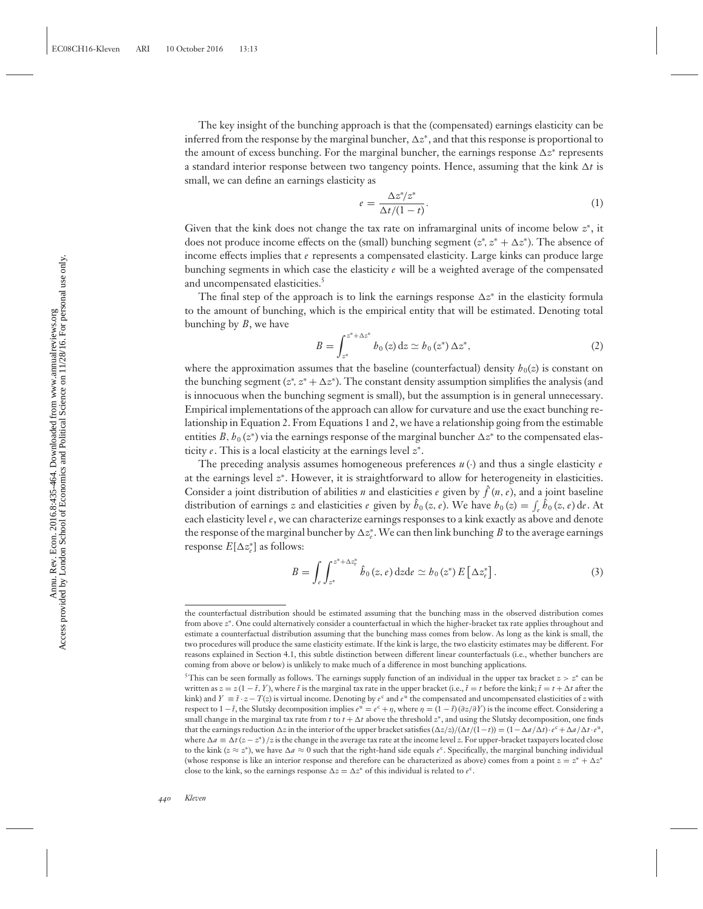The key insight of the bunching approach is that the (compensated) earnings elasticity can be inferred from the response by the marginal buncher,  $\Delta z^*$ , and that this response is proportional to the amount of excess bunching. For the marginal buncher, the earnings response ∆z\* represents a standard interior response between two tangency points. Hence, assuming that the kink  $\Delta t$  is small, we can define an earnings elasticity as

$$
e = \frac{\Delta z^* / z^*}{\Delta t / (1 - t)}.
$$
\n<sup>(1)</sup>

Given that the kink does not change the tax rate on inframarginal units of income below *z*<sup>∗</sup>, it does not produce income effects on the (small) bunching segment (*z*<sup>\*</sup>, *z*<sup>\*</sup> + ∆*z*<sup>\*</sup>). The absence of income effects implies that *e* represents a compensated elasticity. Large kinks can produce large bunching segments in which case the elasticity *e* will be a weighted average of the compensated and uncompensated elasticities.<sup>5</sup>

The final step of the approach is to link the earnings response  $\Delta z^*$  in the elasticity formula to the amount of bunching, which is the empirical entity that will be estimated. Denoting total bunching by *B*, we have

$$
B = \int_{z^*}^{z^* + \Delta z^*} b_0(z) dz \simeq b_0(z^*) \Delta z^*,
$$
 (2)

where the approximation assumes that the baseline (counterfactual) density  $h_0(z)$  is constant on the bunching segment  $(z^*, z^* + \Delta z^*)$ . The constant density assumption simplifies the analysis (and is innocuous when the bunching segment is small), but the assumption is in general unnecessary. Empirical implementations of the approach can allow for curvature and use the exact bunching relationship in Equation 2. From Equations 1 and 2, we have a relationship going from the estimable entities  $B$ ,  $b_0(z^*)$  via the earnings response of the marginal buncher  $\Delta z^*$  to the compensated elasticity *e*. This is a local elasticity at the earnings level *z*<sup>∗</sup>.

The preceding analysis assumes homogeneous preferences  $u(\cdot)$  and thus a single elasticity *e* at the earnings level *z*<sup>∗</sup>. However, it is straightforward to allow for heterogeneity in elasticities. Consider a joint distribution of abilities *n* and elasticities *e* given by  $\hat{f}(n, e)$ , and a joint baseline distribution of earnings *z* and elasticities *e* given by  $\hat{b}_0(z, e)$ . We have  $b_0(z) = \int_e \hat{b}_0(z, e) \, de$ . At each elasticity level *e*, we can characterize earnings responses to a kink exactly as above and denote the response of the marginal buncher by  $\Delta z^*_e$ . We can then link bunching *B* to the average earnings response  $E[\Delta z_e^*]$  as follows:

$$
B = \int_{e} \int_{z^*}^{z^* + \Delta z_{\epsilon}^*} \hat{b}_0(z, e) dz d\epsilon \simeq b_0(z^*) E\left[\Delta z_{\epsilon}^*\right]. \tag{3}
$$

the counterfactual distribution should be estimated assuming that the bunching mass in the observed distribution comes from above *z*∗. One could alternatively consider a counterfactual in which the higher-bracket tax rate applies throughout and estimate a counterfactual distribution assuming that the bunching mass comes from below. As long as the kink is small, the two procedures will produce the same elasticity estimate. If the kink is large, the two elasticity estimates may be different. For reasons explained in Section 4.1, this subtle distinction between different linear counterfactuals (i.e., whether bunchers are coming from above or below) is unlikely to make much of a difference in most bunching applications.

<sup>&</sup>lt;sup>5</sup>This can be seen formally as follows. The earnings supply function of an individual in the upper tax bracket  $z > z^*$  can be written as  $z = z(1 - \tilde{t}, Y)$ , where  $\tilde{t}$  is the marginal tax rate in the upper bracket (i.e.,  $\tilde{t} = t$  before the kink;  $\tilde{t} = t + \Delta t$  after the kink) and *Y* =  $\tilde{t} \cdot z - T(z)$  is virtual income. Denoting by  $e^c$  and  $e^u$  the compensated and uncompensated elasticities of *z* with respect to  $1-\tilde{t}$ , the Slutsky decomposition implies  $e^u = e^c + \eta$ , where  $\eta = (1-\tilde{t})(\partial z/\partial Y)$  is the income effect. Considering a small change in the marginal tax rate from  $t$  to  $t + \Delta t$  above the threshold  $z^*$ , and using the Slutsky decomposition, one finds that the earnings reduction  $\Delta z$  in the interior of the upper bracket satisfies  $(\Delta z/z)/(\Delta t/(1-t)) = (1 - \Delta a/\Delta t) \cdot e^c + \Delta a/\Delta t \cdot e^u$ . where  $\Delta a = \Delta t (z - z^*) / z$  is the change in the average tax rate at the income level *z*. For upper-bracket taxpayers located close to the kink ( $z \approx z^*$ ), we have  $\Delta a \approx 0$  such that the right-hand side equals  $e^c$ . Specifically, the marginal bunching individual (whose response is like an interior response and therefore can be characterized as above) comes from a point  $z = z^* + \Delta z^*$ close to the kink, so the earnings response  $\Delta z = \Delta z^*$  of this individual is related to  $e^c$ .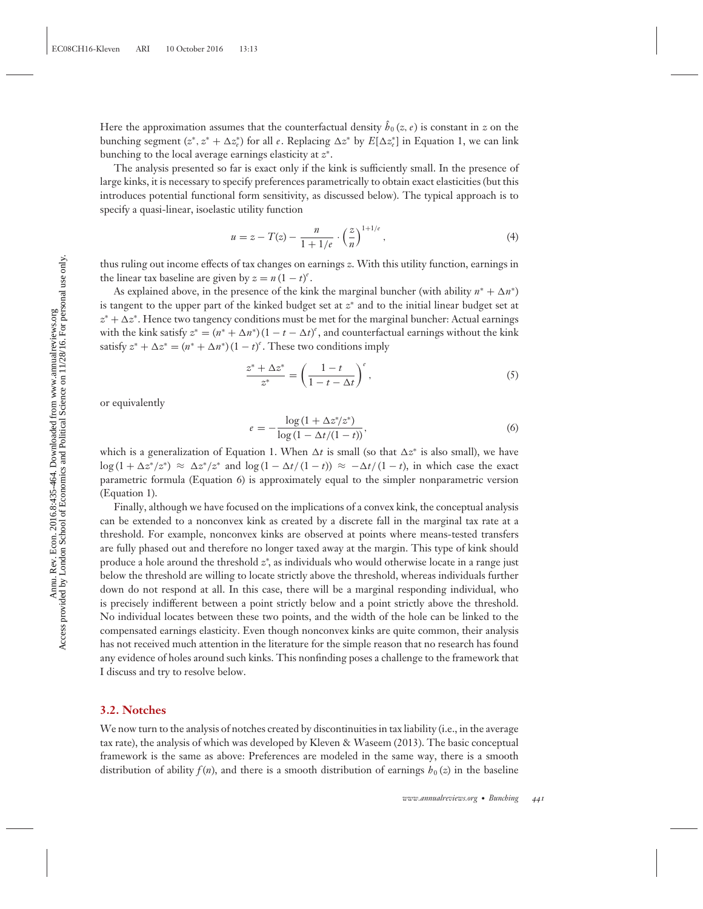Here the approximation assumes that the counterfactual density  $\hat{b}_0(z, e)$  is constant in z on the bunching segment  $(z^*, z^* + \Delta z^*_{\epsilon})$  for all  $e$ . Replacing  $\Delta z^*$  by  $E[\Delta z^*_{\epsilon}]$  in Equation 1, we can link bunching to the local average earnings elasticity at *z*<sup>∗</sup>.

The analysis presented so far is exact only if the kink is sufficiently small. In the presence of large kinks, it is necessary to specify preferences parametrically to obtain exact elasticities (but this introduces potential functional form sensitivity, as discussed below). The typical approach is to specify a quasi-linear, isoelastic utility function

$$
u = z - T(z) - \frac{n}{1 + 1/e} \cdot \left(\frac{z}{n}\right)^{1 + 1/e},\tag{4}
$$

thus ruling out income effects of tax changes on earnings *z*. With this utility function, earnings in the linear tax baseline are given by  $z = n(1 - t)^e$ .

As explained above, in the presence of the kink the marginal buncher (with ability  $n^* + \Delta n^*$ ) is tangent to the upper part of the kinked budget set at *z*<sup>∗</sup> and to the initial linear budget set at  $z^* + \Delta z^*$ . Hence two tangency conditions must be met for the marginal buncher: Actual earnings with the kink satisfy  $z^* = (n^* + \Delta n^*)(1 - t - \Delta t)^e$ , and counterfactual earnings without the kink satisfy  $z^* + \Delta z^* = (n^* + \Delta n^*)(1 - t)^e$ . These two conditions imply

$$
\frac{z^* + \Delta z^*}{z^*} = \left(\frac{1-t}{1-t - \Delta t}\right)^e,\tag{5}
$$

or equivalently

$$
e = -\frac{\log(1 + \Delta z^* / z^*)}{\log(1 - \Delta t / (1 - t))},\tag{6}
$$

which is a generalization of Equation 1. When  $\Delta t$  is small (so that  $\Delta z^*$  is also small), we have  $\log(1 + \Delta z^*/z^*) \approx \Delta z^*/z^*$  and  $\log(1 - \Delta t/(1-t)) \approx -\Delta t/(1-t)$ , in which case the exact parametric formula (Equation 6) is approximately equal to the simpler nonparametric version (Equation 1).

Finally, although we have focused on the implications of a convex kink, the conceptual analysis can be extended to a nonconvex kink as created by a discrete fall in the marginal tax rate at a threshold. For example, nonconvex kinks are observed at points where means-tested transfers are fully phased out and therefore no longer taxed away at the margin. This type of kink should produce a hole around the threshold *z*<sup>∗</sup> , as individuals who would otherwise locate in a range just below the threshold are willing to locate strictly above the threshold, whereas individuals further down do not respond at all. In this case, there will be a marginal responding individual, who is precisely indifferent between a point strictly below and a point strictly above the threshold. No individual locates between these two points, and the width of the hole can be linked to the compensated earnings elasticity. Even though nonconvex kinks are quite common, their analysis has not received much attention in the literature for the simple reason that no research has found any evidence of holes around such kinks. This nonfinding poses a challenge to the framework that I discuss and try to resolve below.

#### **3.2. Notches**

We now turn to the analysis of notches created by discontinuities in tax liability (i.e., in the average tax rate), the analysis of which was developed by Kleven & Waseem (2013). The basic conceptual framework is the same as above: Preferences are modeled in the same way, there is a smooth distribution of ability  $f(n)$ , and there is a smooth distribution of earnings  $h_0(z)$  in the baseline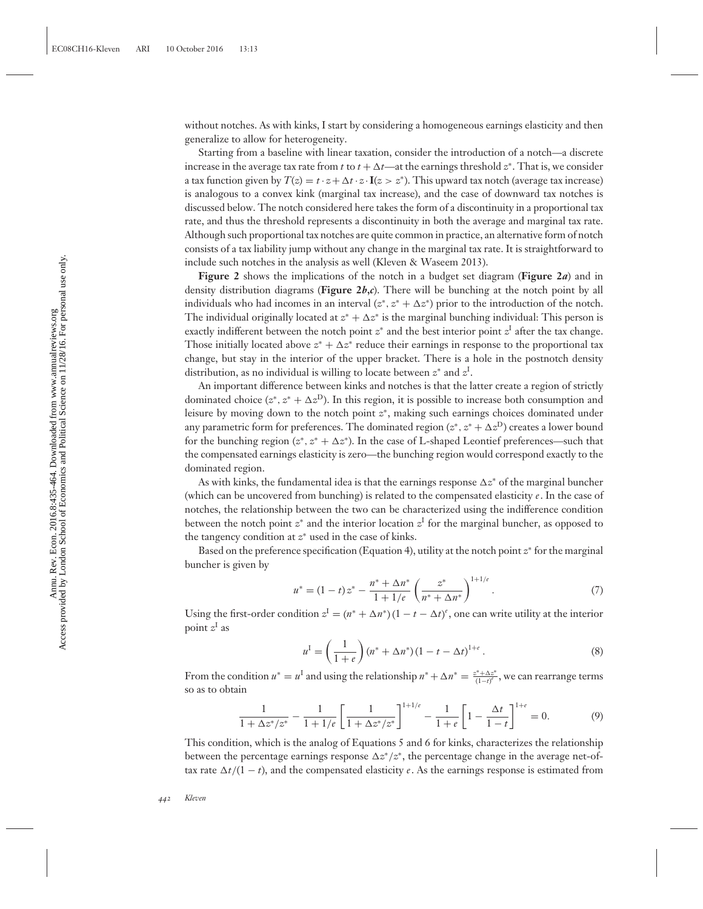without notches. As with kinks, I start by considering a homogeneous earnings elasticity and then generalize to allow for heterogeneity.

Starting from a baseline with linear taxation, consider the introduction of a notch—a discrete increase in the average tax rate from *t* to  $t + \Delta t$ —at the earnings threshold  $z^*$ . That is, we consider a tax function given by  $T(z) = t \cdot z + \Delta t \cdot z \cdot \mathbf{I}(z > z^*)$ . This upward tax notch (average tax increase) is analogous to a convex kink (marginal tax increase), and the case of downward tax notches is discussed below. The notch considered here takes the form of a discontinuity in a proportional tax rate, and thus the threshold represents a discontinuity in both the average and marginal tax rate. Although such proportional tax notches are quite common in practice, an alternative form of notch consists of a tax liability jump without any change in the marginal tax rate. It is straightforward to include such notches in the analysis as well (Kleven & Waseem 2013).

**Figure 2** shows the implications of the notch in a budget set diagram (**Figure 2***a*) and in density distribution diagrams (**Figure 2***b***,***c*). There will be bunching at the notch point by all individuals who had incomes in an interval  $(z^*, z^* + \Delta z^*)$  prior to the introduction of the notch. The individual originally located at  $z^* + \Delta z^*$  is the marginal bunching individual: This person is exactly indifferent between the notch point  $z^*$  and the best interior point  $z^I$  after the tax change. Those initially located above  $z^* + \Delta z^*$  reduce their earnings in response to the proportional tax change, but stay in the interior of the upper bracket. There is a hole in the postnotch density distribution, as no individual is willing to locate between *z*<sup>∗</sup> and *z*<sup>I</sup> .

An important difference between kinks and notches is that the latter create a region of strictly dominated choice  $(z^*, z^* + \Delta z^D)$ . In this region, it is possible to increase both consumption and leisure by moving down to the notch point *z*<sup>∗</sup>, making such earnings choices dominated under any parametric form for preferences. The dominated region  $(z^*,z^*+\Delta z^{\mathrm{D}})$  creates a lower bound for the bunching region  $(z^*, z^* + \Delta z^*)$ . In the case of L-shaped Leontief preferences—such that the compensated earnings elasticity is zero—the bunching region would correspond exactly to the dominated region.

As with kinks, the fundamental idea is that the earnings response ∆z\* of the marginal buncher (which can be uncovered from bunching) is related to the compensated elasticity *e*. In the case of notches, the relationship between the two can be characterized using the indifference condition between the notch point  $z^*$  and the interior location  $z^I$  for the marginal buncher, as opposed to the tangency condition at *z*<sup>∗</sup> used in the case of kinks.

Based on the preference specification (Equation 4), utility at the notch point *z*<sup>∗</sup> for the marginal buncher is given by

$$
u^* = (1-t)z^* - \frac{n^* + \Delta n^*}{1+1/e} \left(\frac{z^*}{n^* + \Delta n^*}\right)^{1+1/e}.
$$
 (7)

Using the first-order condition  $z^I = (n^* + \Delta n^*)(1 - t - \Delta t)^e$ , one can write utility at the interior point *z*<sup>I</sup> as

$$
u^{I} = \left(\frac{1}{1+e}\right)(n^* + \Delta n^*)(1 - t - \Delta t)^{1+e}.
$$
 (8)

From the condition  $u^* = u^I$  and using the relationship  $n^* + \Delta n^* = \frac{z^* + \Delta z^*}{(1-t)^c}$ , we can rearrange terms so as to obtain

$$
\frac{1}{1 + \Delta z^* / z^*} - \frac{1}{1 + 1/e} \left[ \frac{1}{1 + \Delta z^* / z^*} \right]^{1 + 1/e} - \frac{1}{1 + e} \left[ 1 - \frac{\Delta t}{1 - t} \right]^{1 + e} = 0.
$$
 (9)

This condition, which is the analog of Equations 5 and 6 for kinks, characterizes the relationship between the percentage earnings response  $\Delta z^*/z^*$ , the percentage change in the average net-oftax rate  $\Delta t/(1-t)$ , and the compensated elasticity *e*. As the earnings response is estimated from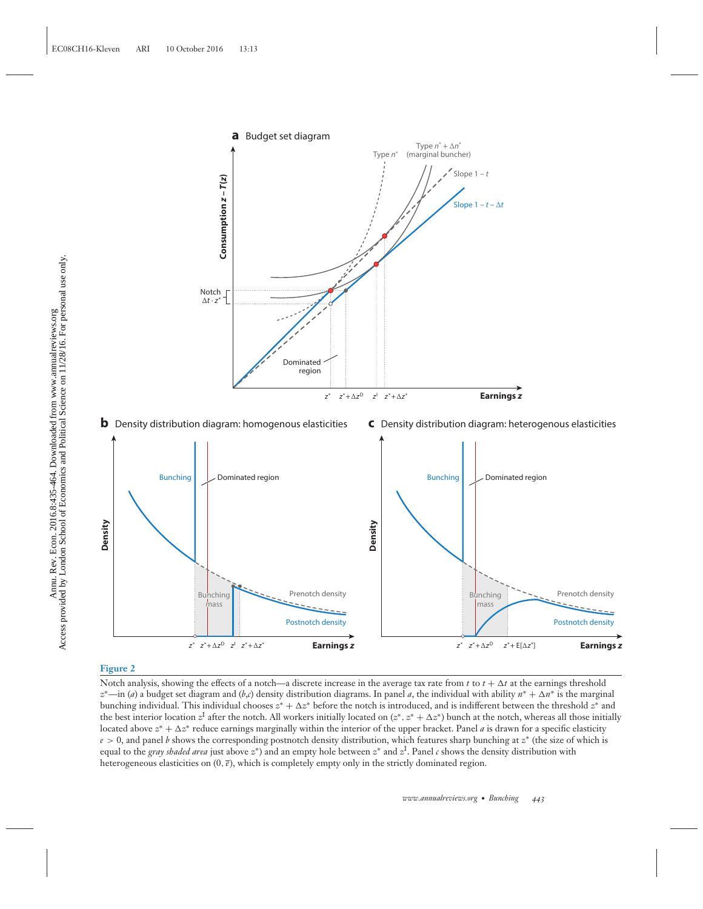

#### **Figure 2**

Notch analysis, showing the effects of a notch—a discrete increase in the average tax rate from  $t$  to  $t + \Delta t$  at the earnings threshold *z*∗—in (*a*) a budget set diagram and (*b*,*c*) density distribution diagrams. In panel *a*, the individual with ability *n*<sup>∗</sup> + -*n*<sup>∗</sup> is the marginal bunching individual. This individual chooses  $z^* + \Delta z^*$  before the notch is introduced, and is indifferent between the threshold  $z^*$  and the best interior location  $z^I$  after the notch. All workers initially located on  $(z^*,z^*+\Delta z^*)$  bunch at the notch, whereas all those initially located above  $z^* + \Delta z^*$  reduce earnings marginally within the interior of the upper bracket. Panel *a* is drawn for a specific elasticity *e* > 0, and panel *b* shows the corresponding postnotch density distribution, which features sharp bunching at *z*<sup>∗</sup> (the size of which is equal to the *gray shaded area* just above *z*∗) and an empty hole between *z*<sup>∗</sup> and *z*<sup>I</sup> . Panel *c* shows the density distribution with heterogeneous elasticities on  $(0, \bar{\epsilon})$ , which is completely empty only in the strictly dominated region.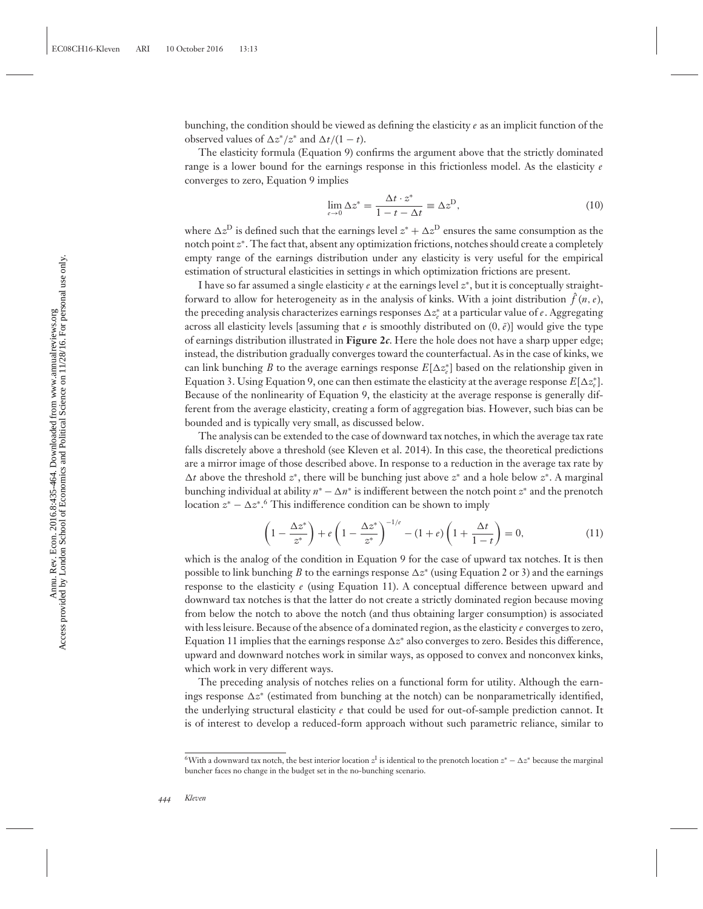bunching, the condition should be viewed as defining the elasticity *e* as an implicit function of the observed values of  $\Delta z^*/z^*$  and  $\Delta t/(1-t)$ .

The elasticity formula (Equation 9) confirms the argument above that the strictly dominated range is a lower bound for the earnings response in this frictionless model. As the elasticity *e* converges to zero, Equation 9 implies

$$
\lim_{\varepsilon \to 0} \Delta z^* = \frac{\Delta t \cdot z^*}{1 - t - \Delta t} \equiv \Delta z^{\text{D}},\tag{10}
$$

where  $\Delta z^D$  is defined such that the earnings level  $z^* + \Delta z^D$  ensures the same consumption as the notch point *z*<sup>∗</sup>. The fact that, absent any optimization frictions, notches should create a completely empty range of the earnings distribution under any elasticity is very useful for the empirical estimation of structural elasticities in settings in which optimization frictions are present.

I have so far assumed a single elasticity *e* at the earnings level *z*<sup>∗</sup>, but it is conceptually straightforward to allow for heterogeneity as in the analysis of kinks. With a joint distribution  $\hat{f}\left(n,e\right)$ , the preceding analysis characterizes earnings responses  $\Delta z_{e}^{*}$  at a particular value of *e*. Aggregating across all elasticity levels [assuming that *e* is smoothly distributed on  $(0, \bar{\varepsilon})$ ] would give the type of earnings distribution illustrated in **Figure 2***c*. Here the hole does not have a sharp upper edge; instead, the distribution gradually converges toward the counterfactual. As in the case of kinks, we can link bunching *B* to the average earnings response  $E[\Delta z_e^*]$  based on the relationship given in Equation 3. Using Equation 9, one can then estimate the elasticity at the average response  $E[\Delta z_{e}^{*}]$ . Because of the nonlinearity of Equation 9, the elasticity at the average response is generally different from the average elasticity, creating a form of aggregation bias. However, such bias can be bounded and is typically very small, as discussed below.

The analysis can be extended to the case of downward tax notches, in which the average tax rate falls discretely above a threshold (see Kleven et al. 2014). In this case, the theoretical predictions are a mirror image of those described above. In response to a reduction in the average tax rate by -*t* above the threshold *z*<sup>∗</sup>, there will be bunching just above *z*<sup>∗</sup> and a hole below *z*<sup>∗</sup>. A marginal bunching individual at ability  $n^* - \Delta n^*$  is indifferent between the notch point  $z^*$  and the prenotch location  $z^* - \Delta z^{*.6}$  This indifference condition can be shown to imply

$$
\left(1 - \frac{\Delta z^*}{z^*}\right) + e\left(1 - \frac{\Delta z^*}{z^*}\right)^{-1/e} - (1 + e)\left(1 + \frac{\Delta t}{1 - t}\right) = 0,\tag{11}
$$

which is the analog of the condition in Equation 9 for the case of upward tax notches. It is then possible to link bunching *B* to the earnings response  $\Delta z^*$  (using Equation 2 or 3) and the earnings response to the elasticity *e* (using Equation 11). A conceptual difference between upward and downward tax notches is that the latter do not create a strictly dominated region because moving from below the notch to above the notch (and thus obtaining larger consumption) is associated with less leisure. Because of the absence of a dominated region, as the elasticity *e* converges to zero, Equation 11 implies that the earnings response ∆z<sup>∗</sup> also converges to zero. Besides this difference, upward and downward notches work in similar ways, as opposed to convex and nonconvex kinks, which work in very different ways.

The preceding analysis of notches relies on a functional form for utility. Although the earnings response ∆z<sup>∗</sup> (estimated from bunching at the notch) can be nonparametrically identified, the underlying structural elasticity *e* that could be used for out-of-sample prediction cannot. It is of interest to develop a reduced-form approach without such parametric reliance, similar to

<sup>6</sup>With a downward tax notch, the best interior location *z*<sup>I</sup> is identical to the prenotch location *z*<sup>∗</sup> − -*z*<sup>∗</sup> because the marginal buncher faces no change in the budget set in the no-bunching scenario.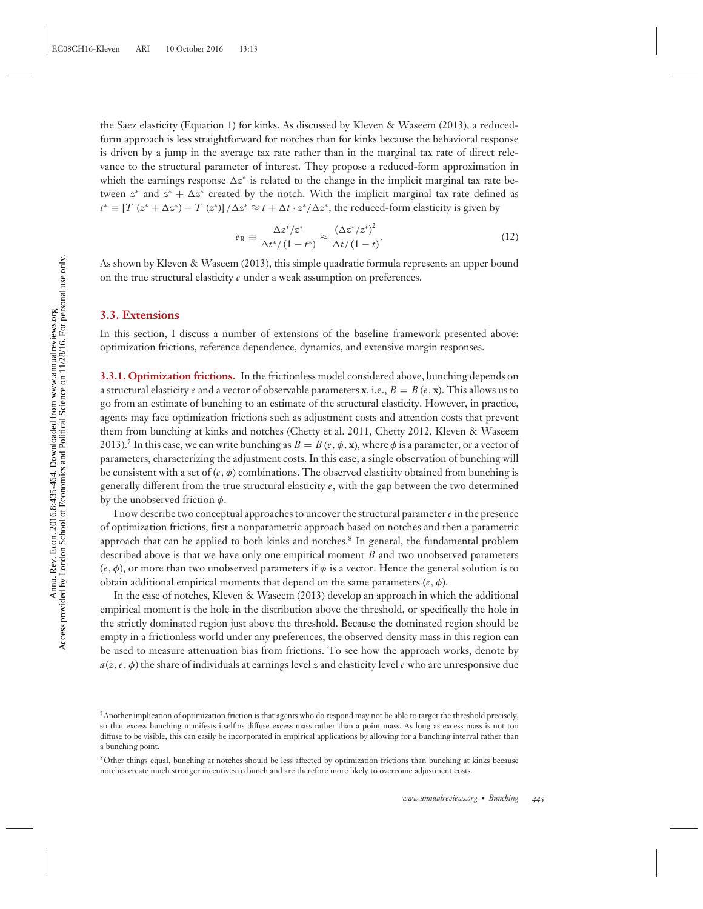the Saez elasticity (Equation 1) for kinks. As discussed by Kleven & Waseem (2013), a reducedform approach is less straightforward for notches than for kinks because the behavioral response is driven by a jump in the average tax rate rather than in the marginal tax rate of direct relevance to the structural parameter of interest. They propose a reduced-form approximation in which the earnings response ∆z\* is related to the change in the implicit marginal tax rate between  $z^*$  and  $z^* + \Delta z^*$  created by the notch. With the implicit marginal tax rate defined as  $t^* \equiv [T (z^* + \Delta z^*) - T (z^*)] / \Delta z^* \approx t + \Delta t \cdot z^* / \Delta z^*$ , the reduced-form elasticity is given by

$$
e_{\mathcal{R}} \equiv \frac{\Delta z^* / z^*}{\Delta t^* / (1 - t^*)} \approx \frac{(\Delta z^* / z^*)^2}{\Delta t / (1 - t)}.
$$
\n(12)

As shown by Kleven & Waseem (2013), this simple quadratic formula represents an upper bound on the true structural elasticity *e* under a weak assumption on preferences.

#### **3.3. Extensions**

In this section, I discuss a number of extensions of the baseline framework presented above: optimization frictions, reference dependence, dynamics, and extensive margin responses.

**3.3.1. Optimization frictions.** In the frictionless model considered above, bunching depends on a structural elasticity *e* and a vector of observable parameters **x**, i.e.,  $B = B(e, \mathbf{x})$ . This allows us to go from an estimate of bunching to an estimate of the structural elasticity. However, in practice, agents may face optimization frictions such as adjustment costs and attention costs that prevent them from bunching at kinks and notches (Chetty et al. 2011, Chetty 2012, Kleven & Waseem 2013).<sup>7</sup> In this case, we can write bunching as  $B = B(e, \phi, x)$ , where  $\phi$  is a parameter, or a vector of parameters, characterizing the adjustment costs. In this case, a single observation of bunching will be consistent with a set of  $(e, \phi)$  combinations. The observed elasticity obtained from bunching is generally different from the true structural elasticity *e*, with the gap between the two determined by the unobserved friction  $\phi$ .

I now describe two conceptual approaches to uncover the structural parameter  $e$  in the presence of optimization frictions, first a nonparametric approach based on notches and then a parametric approach that can be applied to both kinks and notches.<sup>8</sup> In general, the fundamental problem described above is that we have only one empirical moment *B* and two unobserved parameters  $(e, \phi)$ , or more than two unobserved parameters if  $\phi$  is a vector. Hence the general solution is to obtain additional empirical moments that depend on the same parameters  $(e, \phi)$ .

In the case of notches, Kleven & Waseem (2013) develop an approach in which the additional empirical moment is the hole in the distribution above the threshold, or specifically the hole in the strictly dominated region just above the threshold. Because the dominated region should be empty in a frictionless world under any preferences, the observed density mass in this region can be used to measure attenuation bias from frictions. To see how the approach works, denote by  $a(z, e, \phi)$  the share of individuals at earnings level *z* and elasticity level *e* who are unresponsive due

<sup>7</sup>Another implication of optimization friction is that agents who do respond may not be able to target the threshold precisely, so that excess bunching manifests itself as diffuse excess mass rather than a point mass. As long as excess mass is not too diffuse to be visible, this can easily be incorporated in empirical applications by allowing for a bunching interval rather than a bunching point.

<sup>8</sup>Other things equal, bunching at notches should be less affected by optimization frictions than bunching at kinks because notches create much stronger incentives to bunch and are therefore more likely to overcome adjustment costs.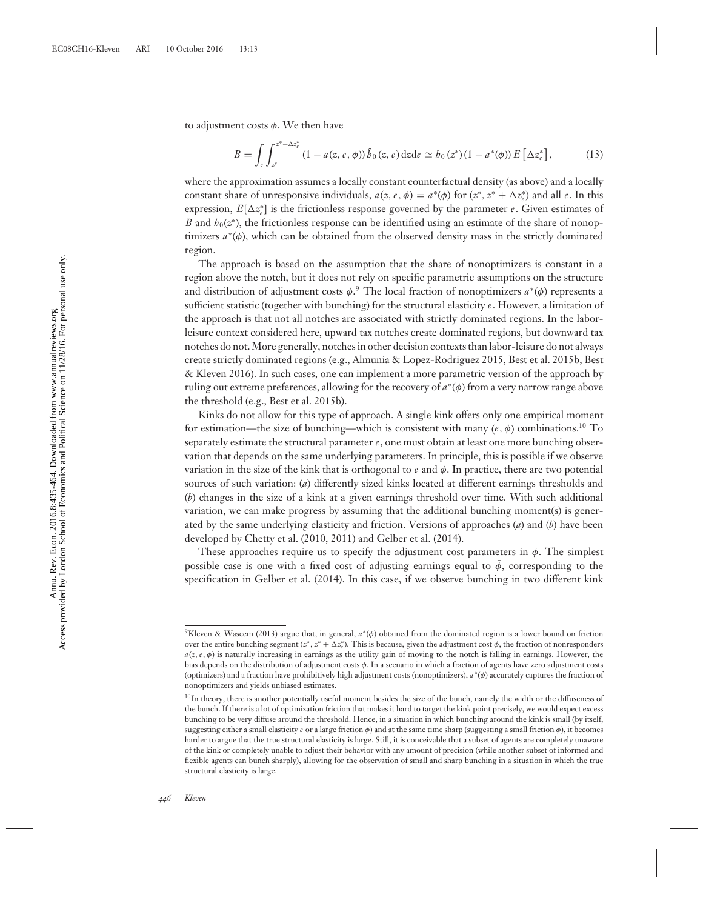to adjustment costs  $\phi$ . We then have

$$
B = \int_{e} \int_{z^*}^{z^* + \Delta z_{\epsilon}^*} (1 - a(z, e, \phi)) \hat{b}_0(z, e) dz de \simeq b_0(z^*)(1 - a^*(\phi)) E[\Delta z_{\epsilon}^*],
$$
 (13)

where the approximation assumes a locally constant counterfactual density (as above) and a locally constant share of unresponsive individuals,  $a(z, e, \phi) = a^*(\phi)$  for  $(z^*, z^* + \Delta z^*_e)$  and all *e*. In this expression,  $E[\Delta z_e^*]$  is the frictionless response governed by the parameter  $e$ . Given estimates of *B* and  $h_0(z^*)$ , the frictionless response can be identified using an estimate of the share of nonoptimizers *a*<sup>∗</sup>(φ), which can be obtained from the observed density mass in the strictly dominated region.

The approach is based on the assumption that the share of nonoptimizers is constant in a region above the notch, but it does not rely on specific parametric assumptions on the structure and distribution of adjustment costs φ. <sup>9</sup> The local fraction of nonoptimizers *a*<sup>∗</sup>(φ) represents a sufficient statistic (together with bunching) for the structural elasticity *e*. However, a limitation of the approach is that not all notches are associated with strictly dominated regions. In the laborleisure context considered here, upward tax notches create dominated regions, but downward tax notches do not. More generally, notches in other decision contexts than labor-leisure do not always create strictly dominated regions (e.g., Almunia & Lopez-Rodriguez 2015, Best et al. 2015b, Best & Kleven 2016). In such cases, one can implement a more parametric version of the approach by ruling out extreme preferences, allowing for the recovery of *a*<sup>∗</sup>(φ) from a very narrow range above the threshold (e.g., Best et al. 2015b).

Kinks do not allow for this type of approach. A single kink offers only one empirical moment for estimation—the size of bunching—which is consistent with many (*e*, φ) combinations.<sup>10</sup> To separately estimate the structural parameter *e*, one must obtain at least one more bunching observation that depends on the same underlying parameters. In principle, this is possible if we observe variation in the size of the kink that is orthogonal to  $e$  and  $\phi$ . In practice, there are two potential sources of such variation: (*a*) differently sized kinks located at different earnings thresholds and (*b*) changes in the size of a kink at a given earnings threshold over time. With such additional variation, we can make progress by assuming that the additional bunching moment(s) is generated by the same underlying elasticity and friction. Versions of approaches (*a*) and (*b*) have been developed by Chetty et al. (2010, 2011) and Gelber et al. (2014).

These approaches require us to specify the adjustment cost parameters in  $\phi$ . The simplest possible case is one with a fixed cost of adjusting earnings equal to  $\phi$ , corresponding to the specification in Gelber et al. (2014). In this case, if we observe bunching in two different kink

<sup>9</sup>Kleven & Waseem (2013) argue that, in general, *a*∗(φ) obtained from the dominated region is a lower bound on friction over the entire bunching segment (*z*<sup>∗</sup>, *z*<sup>∗</sup> + ∆*z*<sup>∗</sup>). This is because, given the adjustment cost *ϕ*, the fraction of nonresponders  $a(x, e, \phi)$  is naturally increasing in earnings as the utility gain of moving to the notch is falling in earnings. However, the bias depends on the distribution of adjustment costs φ. In a scenario in which a fraction of agents have zero adjustment costs (optimizers) and a fraction have prohibitively high adjustment costs (nonoptimizers), *a*∗(φ) accurately captures the fraction of nonoptimizers and yields unbiased estimates.

<sup>10</sup>In theory, there is another potentially useful moment besides the size of the bunch, namely the width or the diffuseness of the bunch. If there is a lot of optimization friction that makes it hard to target the kink point precisely, we would expect excess bunching to be very diffuse around the threshold. Hence, in a situation in which bunching around the kink is small (by itself, suggesting either a small elasticity *e* or a large friction φ) and at the same time sharp (suggesting a small friction φ), it becomes harder to argue that the true structural elasticity is large. Still, it is conceivable that a subset of agents are completely unaware of the kink or completely unable to adjust their behavior with any amount of precision (while another subset of informed and flexible agents can bunch sharply), allowing for the observation of small and sharp bunching in a situation in which the true structural elasticity is large.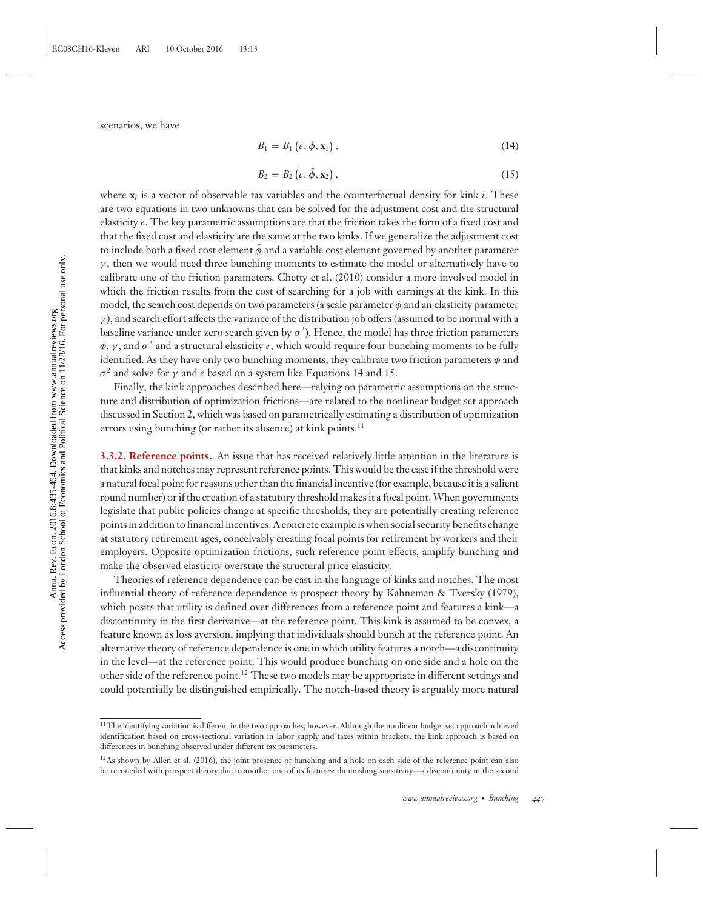scenarios, we have

$$
B_1 = B_1 \left( e, \bar{\phi}, \mathbf{x}_1 \right), \tag{14}
$$

$$
B_2 = B_2 \left( e, \bar{\phi}, \mathbf{x}_2 \right), \tag{15}
$$

where **x***<sup>i</sup>* is a vector of observable tax variables and the counterfactual density for kink *i*. These are two equations in two unknowns that can be solved for the adjustment cost and the structural elasticity *e*. The key parametric assumptions are that the friction takes the form of a fixed cost and that the fixed cost and elasticity are the same at the two kinks. If we generalize the adjustment cost to include both a fixed cost element  $\bar{\phi}$  and a variable cost element governed by another parameter  $\gamma$ , then we would need three bunching moments to estimate the model or alternatively have to calibrate one of the friction parameters. Chetty et al. (2010) consider a more involved model in which the friction results from the cost of searching for a job with earnings at the kink. In this model, the search cost depends on two parameters (a scale parameter  $\phi$  and an elasticity parameter  $\gamma$ ), and search effort affects the variance of the distribution job offers (assumed to be normal with a baseline variance under zero search given by  $\sigma^2$ ). Hence, the model has three friction parameters  $\phi$ ,  $\gamma$ , and  $\sigma^2$  and a structural elasticity *e*, which would require four bunching moments to be fully identified. As they have only two bunching moments, they calibrate two friction parameters  $\phi$  and σ<sup>2</sup> and solve for γ and *e* based on a system like Equations 14 and 15.

Finally, the kink approaches described here—relying on parametric assumptions on the structure and distribution of optimization frictions—are related to the nonlinear budget set approach discussed in Section 2, which was based on parametrically estimating a distribution of optimization errors using bunching (or rather its absence) at kink points.<sup>11</sup>

**3.3.2. Reference points.** An issue that has received relatively little attention in the literature is that kinks and notches may represent reference points. This would be the case if the threshold were a natural focal point for reasons other than the financial incentive (for example, because it is a salient round number) or if the creation of a statutory threshold makes it a focal point.When governments legislate that public policies change at specific thresholds, they are potentially creating reference points in addition to financial incentives. A concrete example is when social security benefits change at statutory retirement ages, conceivably creating focal points for retirement by workers and their employers. Opposite optimization frictions, such reference point effects, amplify bunching and make the observed elasticity overstate the structural price elasticity.

Theories of reference dependence can be cast in the language of kinks and notches. The most influential theory of reference dependence is prospect theory by Kahneman & Tversky (1979), which posits that utility is defined over differences from a reference point and features a kink—a discontinuity in the first derivative—at the reference point. This kink is assumed to be convex, a feature known as loss aversion, implying that individuals should bunch at the reference point. An alternative theory of reference dependence is one in which utility features a notch—a discontinuity in the level—at the reference point. This would produce bunching on one side and a hole on the other side of the reference point.<sup>12</sup> These two models may be appropriate in different settings and could potentially be distinguished empirically. The notch-based theory is arguably more natural

<sup>&</sup>lt;sup>11</sup>The identifying variation is different in the two approaches, however. Although the nonlinear budget set approach achieved identification based on cross-sectional variation in labor supply and taxes within brackets, the kink approach is based on differences in bunching observed under different tax parameters.

 $^{12}$ As shown by Allen et al. (2016), the joint presence of bunching and a hole on each side of the reference point can also be reconciled with prospect theory due to another one of its features: diminishing sensitivity—a discontinuity in the second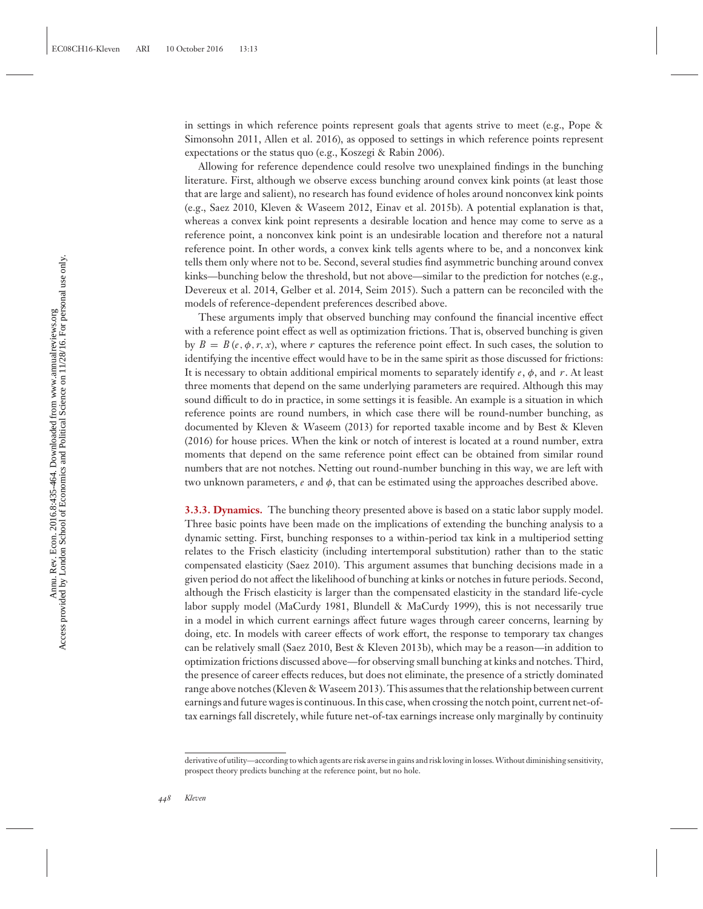in settings in which reference points represent goals that agents strive to meet (e.g., Pope & Simonsohn 2011, Allen et al. 2016), as opposed to settings in which reference points represent expectations or the status quo (e.g., Koszegi & Rabin 2006).

Allowing for reference dependence could resolve two unexplained findings in the bunching literature. First, although we observe excess bunching around convex kink points (at least those that are large and salient), no research has found evidence of holes around nonconvex kink points (e.g., Saez 2010, Kleven & Waseem 2012, Einav et al. 2015b). A potential explanation is that, whereas a convex kink point represents a desirable location and hence may come to serve as a reference point, a nonconvex kink point is an undesirable location and therefore not a natural reference point. In other words, a convex kink tells agents where to be, and a nonconvex kink tells them only where not to be. Second, several studies find asymmetric bunching around convex kinks—bunching below the threshold, but not above—similar to the prediction for notches (e.g., Devereux et al. 2014, Gelber et al. 2014, Seim 2015). Such a pattern can be reconciled with the models of reference-dependent preferences described above.

These arguments imply that observed bunching may confound the financial incentive effect with a reference point effect as well as optimization frictions. That is, observed bunching is given by  $B = B(e, \phi, r, x)$ , where r captures the reference point effect. In such cases, the solution to identifying the incentive effect would have to be in the same spirit as those discussed for frictions: It is necessary to obtain additional empirical moments to separately identify *e*, φ, and *r*. At least three moments that depend on the same underlying parameters are required. Although this may sound difficult to do in practice, in some settings it is feasible. An example is a situation in which reference points are round numbers, in which case there will be round-number bunching, as documented by Kleven & Waseem (2013) for reported taxable income and by Best & Kleven (2016) for house prices. When the kink or notch of interest is located at a round number, extra moments that depend on the same reference point effect can be obtained from similar round numbers that are not notches. Netting out round-number bunching in this way, we are left with two unknown parameters,  $e$  and  $\phi$ , that can be estimated using the approaches described above.

**3.3.3. Dynamics.** The bunching theory presented above is based on a static labor supply model. Three basic points have been made on the implications of extending the bunching analysis to a dynamic setting. First, bunching responses to a within-period tax kink in a multiperiod setting relates to the Frisch elasticity (including intertemporal substitution) rather than to the static compensated elasticity (Saez 2010). This argument assumes that bunching decisions made in a given period do not affect the likelihood of bunching at kinks or notches in future periods. Second, although the Frisch elasticity is larger than the compensated elasticity in the standard life-cycle labor supply model (MaCurdy 1981, Blundell & MaCurdy 1999), this is not necessarily true in a model in which current earnings affect future wages through career concerns, learning by doing, etc. In models with career effects of work effort, the response to temporary tax changes can be relatively small (Saez 2010, Best & Kleven 2013b), which may be a reason—in addition to optimization frictions discussed above—for observing small bunching at kinks and notches. Third, the presence of career effects reduces, but does not eliminate, the presence of a strictly dominated range above notches (Kleven & Waseem 2013). This assumes that the relationship between current earnings and future wages is continuous. In this case, when crossing the notch point, current net-oftax earnings fall discretely, while future net-of-tax earnings increase only marginally by continuity

derivative of utility—according to which agents are risk averse in gains and risk loving in losses.Without diminishing sensitivity, prospect theory predicts bunching at the reference point, but no hole.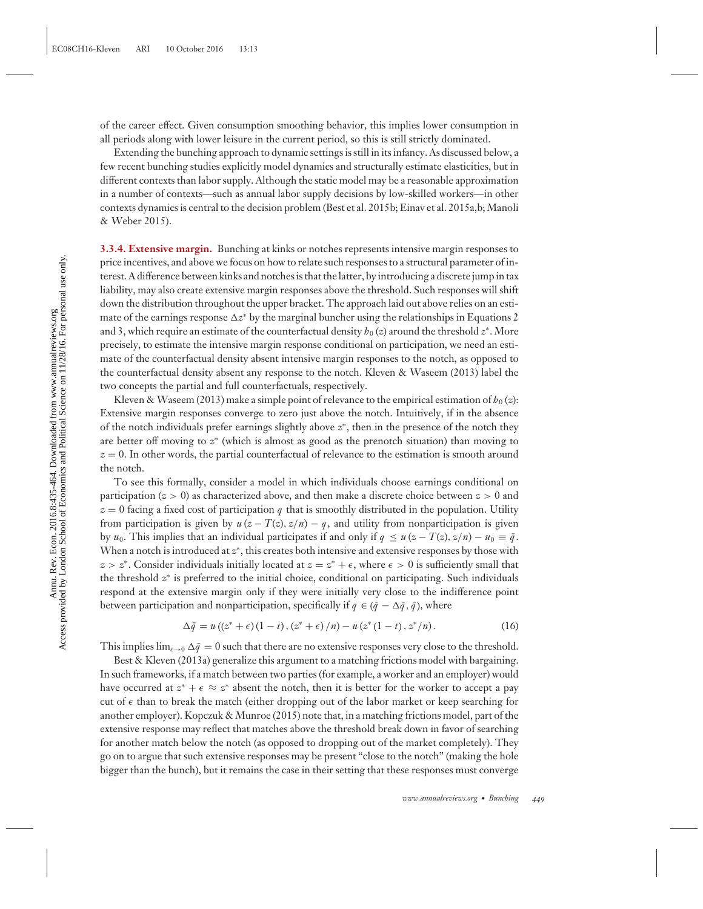of the career effect. Given consumption smoothing behavior, this implies lower consumption in all periods along with lower leisure in the current period, so this is still strictly dominated.

Extending the bunching approach to dynamic settings is still in its infancy. As discussed below, a few recent bunching studies explicitly model dynamics and structurally estimate elasticities, but in different contexts than labor supply. Although the static model may be a reasonable approximation in a number of contexts—such as annual labor supply decisions by low-skilled workers—in other contexts dynamics is central to the decision problem (Best et al. 2015b; Einav et al. 2015a,b; Manoli & Weber 2015).

**3.3.4. Extensive margin.** Bunching at kinks or notches represents intensive margin responses to price incentives, and above we focus on how to relate such responses to a structural parameter of interest. A difference between kinks and notches is that the latter, by introducing a discrete jump in tax liability, may also create extensive margin responses above the threshold. Such responses will shift down the distribution throughout the upper bracket. The approach laid out above relies on an estimate of the earnings response ∆z\* by the marginal buncher using the relationships in Equations 2 and 3, which require an estimate of the counterfactual density  $h_0(z)$  around the threshold  $z^*$ . More precisely, to estimate the intensive margin response conditional on participation, we need an estimate of the counterfactual density absent intensive margin responses to the notch, as opposed to the counterfactual density absent any response to the notch. Kleven & Waseem (2013) label the two concepts the partial and full counterfactuals, respectively.

Kleven & Waseem (2013) make a simple point of relevance to the empirical estimation of  $h_0(z)$ : Extensive margin responses converge to zero just above the notch. Intuitively, if in the absence of the notch individuals prefer earnings slightly above *z*<sup>∗</sup>, then in the presence of the notch they are better off moving to *z*<sup>∗</sup> (which is almost as good as the prenotch situation) than moving to *z* = 0. In other words, the partial counterfactual of relevance to the estimation is smooth around the notch.

To see this formally, consider a model in which individuals choose earnings conditional on participation (*z* > 0) as characterized above, and then make a discrete choice between *z* > 0 and  $z = 0$  facing a fixed cost of participation *q* that is smoothly distributed in the population. Utility from participation is given by  $u(z - T(z), z/n) - q$ , and utility from nonparticipation is given by *u*<sub>0</sub>. This implies that an individual participates if and only if  $q \le u (z - T(z), z/n) - u_0 \equiv \bar{q}$ . When a notch is introduced at *z*<sup>∗</sup>, this creates both intensive and extensive responses by those with  $z > z^*$ . Consider individuals initially located at  $z = z^* + \epsilon$ , where  $\epsilon > 0$  is sufficiently small that the threshold *z*<sup>∗</sup> is preferred to the initial choice, conditional on participating. Such individuals respond at the extensive margin only if they were initially very close to the indifference point between participation and nonparticipation, specifically if  $q \in (\bar{q} - \Delta \bar{q}, \bar{q})$ , where

$$
\Delta \bar{q} = u((z^* + \epsilon)(1 - t), (z^* + \epsilon)/n) - u(z^*(1 - t), z^*/n). \tag{16}
$$

This implies  $\lim_{\epsilon\to 0}\Delta\bar{q}=0$  such that there are no extensive responses very close to the threshold.

Best & Kleven (2013a) generalize this argument to a matching frictions model with bargaining. In such frameworks, if a match between two parties (for example, a worker and an employer) would have occurred at  $z^* + \epsilon \approx z^*$  absent the notch, then it is better for the worker to accept a pay cut of  $\epsilon$  than to break the match (either dropping out of the labor market or keep searching for another employer). Kopczuk & Munroe (2015) note that, in a matching frictions model, part of the extensive response may reflect that matches above the threshold break down in favor of searching for another match below the notch (as opposed to dropping out of the market completely). They go on to argue that such extensive responses may be present "close to the notch" (making the hole bigger than the bunch), but it remains the case in their setting that these responses must converge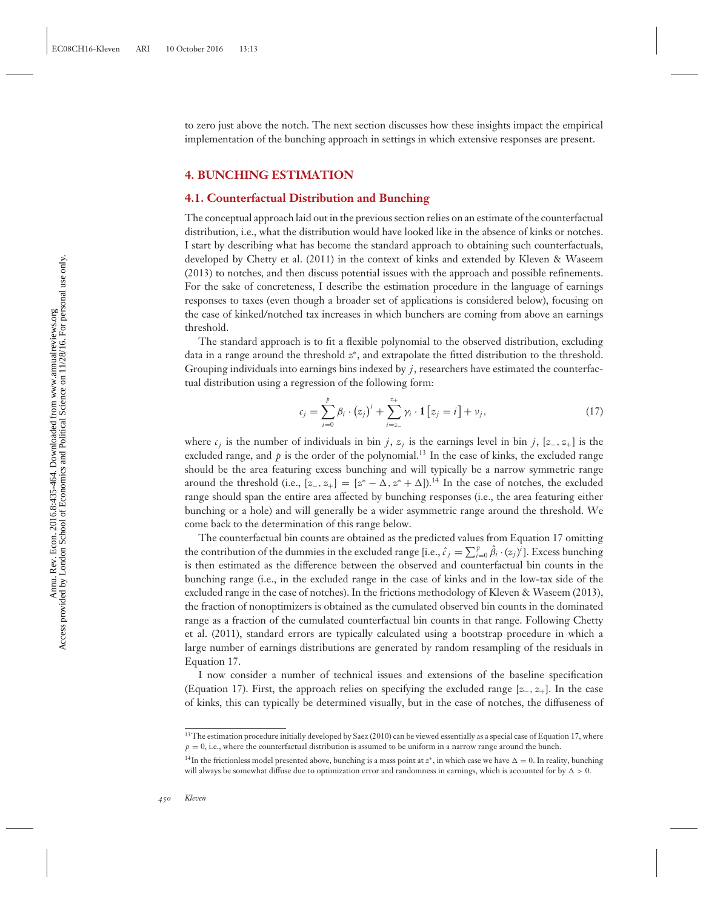to zero just above the notch. The next section discusses how these insights impact the empirical implementation of the bunching approach in settings in which extensive responses are present.

#### **4. BUNCHING ESTIMATION**

#### **4.1. Counterfactual Distribution and Bunching**

The conceptual approach laid out in the previous section relies on an estimate of the counterfactual distribution, i.e., what the distribution would have looked like in the absence of kinks or notches. I start by describing what has become the standard approach to obtaining such counterfactuals, developed by Chetty et al. (2011) in the context of kinks and extended by Kleven & Waseem (2013) to notches, and then discuss potential issues with the approach and possible refinements. For the sake of concreteness, I describe the estimation procedure in the language of earnings responses to taxes (even though a broader set of applications is considered below), focusing on the case of kinked/notched tax increases in which bunchers are coming from above an earnings threshold.

The standard approach is to fit a flexible polynomial to the observed distribution, excluding data in a range around the threshold *z*<sup>∗</sup>, and extrapolate the fitted distribution to the threshold. Grouping individuals into earnings bins indexed by  $j$ , researchers have estimated the counterfactual distribution using a regression of the following form:

$$
c_j = \sum_{i=0}^{p} \beta_i \cdot (z_j)^i + \sum_{i=z_-}^{z_+} \gamma_i \cdot \mathbf{1} [z_j = i] + \nu_j,
$$
 (17)

where  $c_j$  is the number of individuals in bin *j*,  $z_j$  is the earnings level in bin *j*, [*z*<sub>−</sub>, *z*<sub>+</sub>] is the excluded range, and  $p$  is the order of the polynomial.<sup>13</sup> In the case of kinks, the excluded range should be the area featuring excess bunching and will typically be a narrow symmetric range around the threshold (i.e.,  $[z_-, z_+] = [z^* - \Delta, z^* + \Delta]$ ).<sup>14</sup> In the case of notches, the excluded range should span the entire area affected by bunching responses (i.e., the area featuring either bunching or a hole) and will generally be a wider asymmetric range around the threshold. We come back to the determination of this range below.

The counterfactual bin counts are obtained as the predicted values from Equation 17 omitting the contribution of the dummies in the excluded range [i.e.,  $\hat{c}_j = \sum_{i=0}^p \hat{\beta}_i \cdot (z_j)^i$ ]. Excess bunching is then estimated as the difference between the observed and counterfactual bin counts in the bunching range (i.e., in the excluded range in the case of kinks and in the low-tax side of the excluded range in the case of notches). In the frictions methodology of Kleven & Waseem (2013), the fraction of nonoptimizers is obtained as the cumulated observed bin counts in the dominated range as a fraction of the cumulated counterfactual bin counts in that range. Following Chetty et al. (2011), standard errors are typically calculated using a bootstrap procedure in which a large number of earnings distributions are generated by random resampling of the residuals in Equation 17.

I now consider a number of technical issues and extensions of the baseline specification (Equation 17). First, the approach relies on specifying the excluded range [*z*−, *z*+]. In the case of kinks, this can typically be determined visually, but in the case of notches, the diffuseness of

<sup>&</sup>lt;sup>13</sup>The estimation procedure initially developed by Saez (2010) can be viewed essentially as a special case of Equation 17, where  $p = 0$ , i.e., where the counterfactual distribution is assumed to be uniform in a narrow range around the bunch.

<sup>&</sup>lt;sup>14</sup>In the frictionless model presented above, bunching is a mass point at  $z^*$ , in which case we have  $\Delta = 0$ . In reality, bunching will always be somewhat diffuse due to optimization error and randomness in earnings, which is accounted for by  $\Delta > 0$ .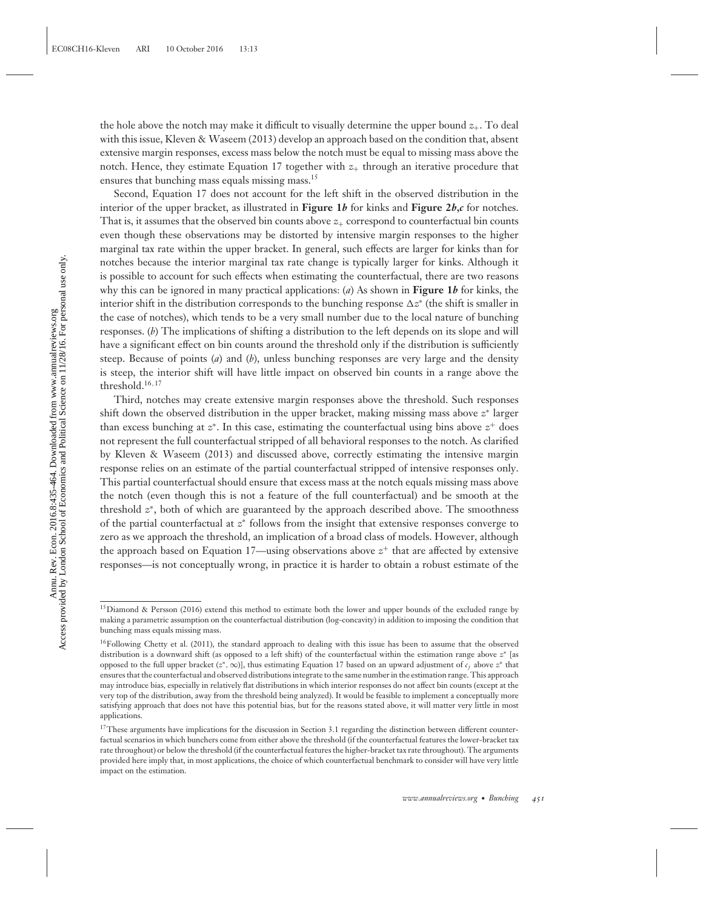the hole above the notch may make it difficult to visually determine the upper bound  $z_{+}$ . To deal with this issue, Kleven & Waseem (2013) develop an approach based on the condition that, absent extensive margin responses, excess mass below the notch must be equal to missing mass above the notch. Hence, they estimate Equation 17 together with  $z_+$  through an iterative procedure that ensures that bunching mass equals missing mass.<sup>15</sup>

Second, Equation 17 does not account for the left shift in the observed distribution in the interior of the upper bracket, as illustrated in **Figure 1***b* for kinks and **Figure 2***b***,***c* for notches. That is, it assumes that the observed bin counts above  $z_{+}$  correspond to counterfactual bin counts even though these observations may be distorted by intensive margin responses to the higher marginal tax rate within the upper bracket. In general, such effects are larger for kinks than for notches because the interior marginal tax rate change is typically larger for kinks. Although it is possible to account for such effects when estimating the counterfactual, there are two reasons why this can be ignored in many practical applications: (*a*) As shown in **Figure 1***b* for kinks, the interior shift in the distribution corresponds to the bunching response  $\Delta z^{*}$  (the shift is smaller in the case of notches), which tends to be a very small number due to the local nature of bunching responses. (*b*) The implications of shifting a distribution to the left depends on its slope and will have a significant effect on bin counts around the threshold only if the distribution is sufficiently steep. Because of points (*a*) and (*b*), unless bunching responses are very large and the density is steep, the interior shift will have little impact on observed bin counts in a range above the threshold.<sup>16</sup>,<sup>17</sup>

Third, notches may create extensive margin responses above the threshold. Such responses shift down the observed distribution in the upper bracket, making missing mass above *z*<sup>∗</sup> larger than excess bunching at *z*<sup>∗</sup>. In this case, estimating the counterfactual using bins above *z*<sup>+</sup> does not represent the full counterfactual stripped of all behavioral responses to the notch. As clarified by Kleven & Waseem (2013) and discussed above, correctly estimating the intensive margin response relies on an estimate of the partial counterfactual stripped of intensive responses only. This partial counterfactual should ensure that excess mass at the notch equals missing mass above the notch (even though this is not a feature of the full counterfactual) and be smooth at the threshold *z*<sup>∗</sup>, both of which are guaranteed by the approach described above. The smoothness of the partial counterfactual at *z*<sup>∗</sup> follows from the insight that extensive responses converge to zero as we approach the threshold, an implication of a broad class of models. However, although the approach based on Equation 17—using observations above  $z^+$  that are affected by extensive responses—is not conceptually wrong, in practice it is harder to obtain a robust estimate of the

<sup>&</sup>lt;sup>15</sup> Diamond & Persson (2016) extend this method to estimate both the lower and upper bounds of the excluded range by making a parametric assumption on the counterfactual distribution (log-concavity) in addition to imposing the condition that bunching mass equals missing mass.

<sup>&</sup>lt;sup>16</sup>Following Chetty et al. (2011), the standard approach to dealing with this issue has been to assume that the observed distribution is a downward shift (as opposed to a left shift) of the counterfactual within the estimation range above *z*<sup>∗</sup> [as opposed to the full upper bracket (*z*∗,∞)], thus estimating Equation 17 based on an upward adjustment of *cj* above *z*<sup>∗</sup> that ensures that the counterfactual and observed distributions integrate to the same number in the estimation range. This approach may introduce bias, especially in relatively flat distributions in which interior responses do not affect bin counts (except at the very top of the distribution, away from the threshold being analyzed). It would be feasible to implement a conceptually more satisfying approach that does not have this potential bias, but for the reasons stated above, it will matter very little in most applications.

<sup>&</sup>lt;sup>17</sup>These arguments have implications for the discussion in Section 3.1 regarding the distinction between different counterfactual scenarios in which bunchers come from either above the threshold (if the counterfactual features the lower-bracket tax rate throughout) or below the threshold (if the counterfactual features the higher-bracket tax rate throughout). The arguments provided here imply that, in most applications, the choice of which counterfactual benchmark to consider will have very little impact on the estimation.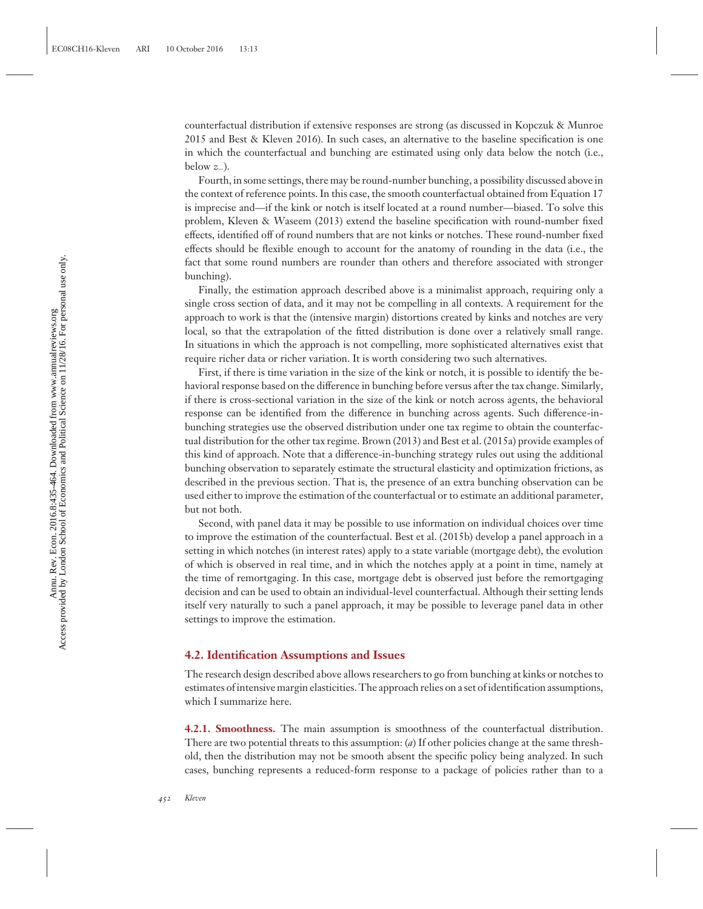counterfactual distribution if extensive responses are strong (as discussed in Kopczuk & Munroe 2015 and Best & Kleven 2016). In such cases, an alternative to the baseline specification is one in which the counterfactual and bunching are estimated using only data below the notch (i.e., below  $z_$ <sub>−</sub>).

Fourth, in some settings, there may be round-number bunching, a possibility discussed above in the context of reference points. In this case, the smooth counterfactual obtained from Equation 17 is imprecise and—if the kink or notch is itself located at a round number—biased. To solve this problem, Kleven & Waseem (2013) extend the baseline specification with round-number fixed effects, identified off of round numbers that are not kinks or notches. These round-number fixed effects should be flexible enough to account for the anatomy of rounding in the data (i.e., the fact that some round numbers are rounder than others and therefore associated with stronger bunching).

Finally, the estimation approach described above is a minimalist approach, requiring only a single cross section of data, and it may not be compelling in all contexts. A requirement for the approach to work is that the (intensive margin) distortions created by kinks and notches are very local, so that the extrapolation of the fitted distribution is done over a relatively small range. In situations in which the approach is not compelling, more sophisticated alternatives exist that require richer data or richer variation. It is worth considering two such alternatives.

First, if there is time variation in the size of the kink or notch, it is possible to identify the behavioral response based on the difference in bunching before versus after the tax change. Similarly, if there is cross-sectional variation in the size of the kink or notch across agents, the behavioral response can be identified from the difference in bunching across agents. Such difference-inbunching strategies use the observed distribution under one tax regime to obtain the counterfactual distribution for the other tax regime. Brown (2013) and Best et al. (2015a) provide examples of this kind of approach. Note that a difference-in-bunching strategy rules out using the additional bunching observation to separately estimate the structural elasticity and optimization frictions, as described in the previous section. That is, the presence of an extra bunching observation can be used either to improve the estimation of the counterfactual or to estimate an additional parameter, but not both.

Second, with panel data it may be possible to use information on individual choices over time to improve the estimation of the counterfactual. Best et al. (2015b) develop a panel approach in a setting in which notches (in interest rates) apply to a state variable (mortgage debt), the evolution of which is observed in real time, and in which the notches apply at a point in time, namely at the time of remortgaging. In this case, mortgage debt is observed just before the remortgaging decision and can be used to obtain an individual-level counterfactual. Although their setting lends itself very naturally to such a panel approach, it may be possible to leverage panel data in other settings to improve the estimation.

#### **4.2. Identification Assumptions and Issues**

The research design described above allows researchers to go from bunching at kinks or notches to estimates of intensive margin elasticities. The approach relies on a set of identification assumptions, which I summarize here.

**4.2.1. Smoothness.** The main assumption is smoothness of the counterfactual distribution. There are two potential threats to this assumption: (*a*) If other policies change at the same threshold, then the distribution may not be smooth absent the specific policy being analyzed. In such cases, bunching represents a reduced-form response to a package of policies rather than to a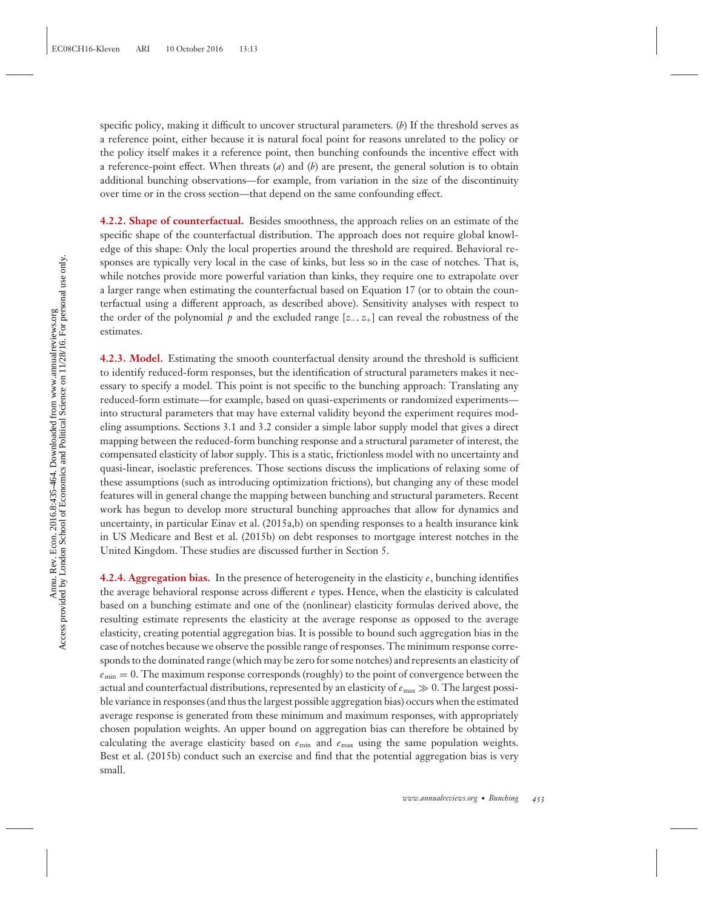specific policy, making it difficult to uncover structural parameters. (*b*) If the threshold serves as a reference point, either because it is natural focal point for reasons unrelated to the policy or the policy itself makes it a reference point, then bunching confounds the incentive effect with a reference-point effect. When threats (*a*) and (*b*) are present, the general solution is to obtain additional bunching observations—for example, from variation in the size of the discontinuity over time or in the cross section—that depend on the same confounding effect.

**4.2.2. Shape of counterfactual.** Besides smoothness, the approach relies on an estimate of the specific shape of the counterfactual distribution. The approach does not require global knowledge of this shape: Only the local properties around the threshold are required. Behavioral responses are typically very local in the case of kinks, but less so in the case of notches. That is, while notches provide more powerful variation than kinks, they require one to extrapolate over a larger range when estimating the counterfactual based on Equation 17 (or to obtain the counterfactual using a different approach, as described above). Sensitivity analyses with respect to the order of the polynomial  $p$  and the excluded range  $[z_-, z_+]$  can reveal the robustness of the estimates.

**4.2.3. Model.** Estimating the smooth counterfactual density around the threshold is sufficient to identify reduced-form responses, but the identification of structural parameters makes it necessary to specify a model. This point is not specific to the bunching approach: Translating any reduced-form estimate—for example, based on quasi-experiments or randomized experiments into structural parameters that may have external validity beyond the experiment requires modeling assumptions. Sections 3.1 and 3.2 consider a simple labor supply model that gives a direct mapping between the reduced-form bunching response and a structural parameter of interest, the compensated elasticity of labor supply. This is a static, frictionless model with no uncertainty and quasi-linear, isoelastic preferences. Those sections discuss the implications of relaxing some of these assumptions (such as introducing optimization frictions), but changing any of these model features will in general change the mapping between bunching and structural parameters. Recent work has begun to develop more structural bunching approaches that allow for dynamics and uncertainty, in particular Einav et al. (2015a,b) on spending responses to a health insurance kink in US Medicare and Best et al. (2015b) on debt responses to mortgage interest notches in the United Kingdom. These studies are discussed further in Section 5.

**4.2.4. Aggregation bias.** In the presence of heterogeneity in the elasticity *e*, bunching identifies the average behavioral response across different *e* types. Hence, when the elasticity is calculated based on a bunching estimate and one of the (nonlinear) elasticity formulas derived above, the resulting estimate represents the elasticity at the average response as opposed to the average elasticity, creating potential aggregation bias. It is possible to bound such aggregation bias in the case of notches because we observe the possible range of responses. The minimum response corresponds to the dominated range (which may be zero for some notches) and represents an elasticity of  $e_{\text{min}} = 0$ . The maximum response corresponds (roughly) to the point of convergence between the actual and counterfactual distributions, represented by an elasticity of  $e_{\rm max} \gg 0.$  The largest possible variance in responses (and thus the largest possible aggregation bias) occurs when the estimated average response is generated from these minimum and maximum responses, with appropriately chosen population weights. An upper bound on aggregation bias can therefore be obtained by calculating the average elasticity based on  $e_{\text{min}}$  and  $e_{\text{max}}$  using the same population weights. Best et al. (2015b) conduct such an exercise and find that the potential aggregation bias is very small.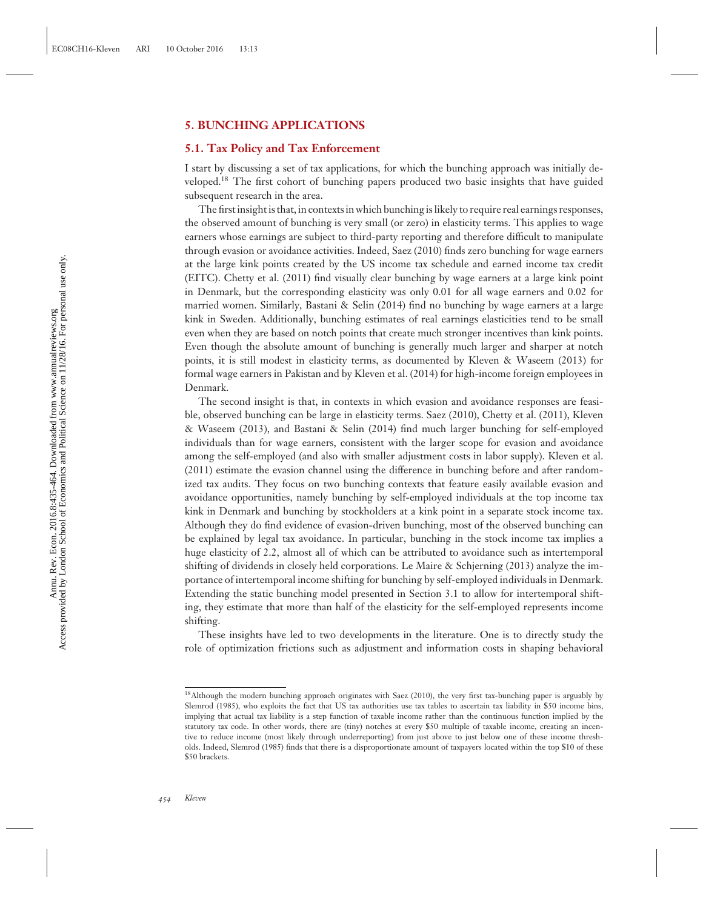#### **5. BUNCHING APPLICATIONS**

#### **5.1. Tax Policy and Tax Enforcement**

I start by discussing a set of tax applications, for which the bunching approach was initially developed.18 The first cohort of bunching papers produced two basic insights that have guided subsequent research in the area.

The first insight is that, in contexts in which bunching is likely to require real earnings responses, the observed amount of bunching is very small (or zero) in elasticity terms. This applies to wage earners whose earnings are subject to third-party reporting and therefore difficult to manipulate through evasion or avoidance activities. Indeed, Saez (2010) finds zero bunching for wage earners at the large kink points created by the US income tax schedule and earned income tax credit (EITC). Chetty et al. (2011) find visually clear bunching by wage earners at a large kink point in Denmark, but the corresponding elasticity was only 0.01 for all wage earners and 0.02 for married women. Similarly, Bastani & Selin (2014) find no bunching by wage earners at a large kink in Sweden. Additionally, bunching estimates of real earnings elasticities tend to be small even when they are based on notch points that create much stronger incentives than kink points. Even though the absolute amount of bunching is generally much larger and sharper at notch points, it is still modest in elasticity terms, as documented by Kleven & Waseem (2013) for formal wage earners in Pakistan and by Kleven et al. (2014) for high-income foreign employees in Denmark.

The second insight is that, in contexts in which evasion and avoidance responses are feasible, observed bunching can be large in elasticity terms. Saez (2010), Chetty et al. (2011), Kleven & Waseem (2013), and Bastani & Selin (2014) find much larger bunching for self-employed individuals than for wage earners, consistent with the larger scope for evasion and avoidance among the self-employed (and also with smaller adjustment costs in labor supply). Kleven et al. (2011) estimate the evasion channel using the difference in bunching before and after randomized tax audits. They focus on two bunching contexts that feature easily available evasion and avoidance opportunities, namely bunching by self-employed individuals at the top income tax kink in Denmark and bunching by stockholders at a kink point in a separate stock income tax. Although they do find evidence of evasion-driven bunching, most of the observed bunching can be explained by legal tax avoidance. In particular, bunching in the stock income tax implies a huge elasticity of 2.2, almost all of which can be attributed to avoidance such as intertemporal shifting of dividends in closely held corporations. Le Maire & Schjerning (2013) analyze the importance of intertemporal income shifting for bunching by self-employed individuals in Denmark. Extending the static bunching model presented in Section 3.1 to allow for intertemporal shifting, they estimate that more than half of the elasticity for the self-employed represents income shifting.

These insights have led to two developments in the literature. One is to directly study the role of optimization frictions such as adjustment and information costs in shaping behavioral

<sup>18</sup>Although the modern bunching approach originates with Saez (2010), the very first tax-bunching paper is arguably by Slemrod (1985), who exploits the fact that US tax authorities use tax tables to ascertain tax liability in \$50 income bins, implying that actual tax liability is a step function of taxable income rather than the continuous function implied by the statutory tax code. In other words, there are (tiny) notches at every \$50 multiple of taxable income, creating an incentive to reduce income (most likely through underreporting) from just above to just below one of these income thresholds. Indeed, Slemrod (1985) finds that there is a disproportionate amount of taxpayers located within the top \$10 of these \$50 brackets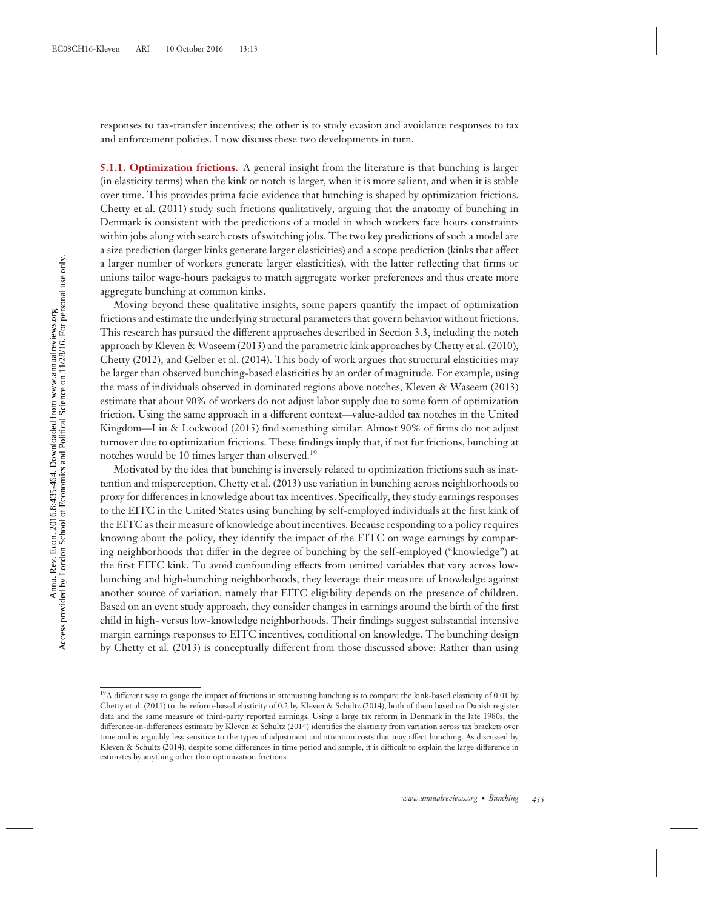responses to tax-transfer incentives; the other is to study evasion and avoidance responses to tax and enforcement policies. I now discuss these two developments in turn.

**5.1.1. Optimization frictions.** A general insight from the literature is that bunching is larger (in elasticity terms) when the kink or notch is larger, when it is more salient, and when it is stable over time. This provides prima facie evidence that bunching is shaped by optimization frictions. Chetty et al. (2011) study such frictions qualitatively, arguing that the anatomy of bunching in Denmark is consistent with the predictions of a model in which workers face hours constraints within jobs along with search costs of switching jobs. The two key predictions of such a model are a size prediction (larger kinks generate larger elasticities) and a scope prediction (kinks that affect a larger number of workers generate larger elasticities), with the latter reflecting that firms or unions tailor wage-hours packages to match aggregate worker preferences and thus create more aggregate bunching at common kinks.

Moving beyond these qualitative insights, some papers quantify the impact of optimization frictions and estimate the underlying structural parameters that govern behavior without frictions. This research has pursued the different approaches described in Section 3.3, including the notch approach by Kleven & Waseem (2013) and the parametric kink approaches by Chetty et al. (2010), Chetty (2012), and Gelber et al. (2014). This body of work argues that structural elasticities may be larger than observed bunching-based elasticities by an order of magnitude. For example, using the mass of individuals observed in dominated regions above notches, Kleven & Waseem (2013) estimate that about 90% of workers do not adjust labor supply due to some form of optimization friction. Using the same approach in a different context—value-added tax notches in the United Kingdom—Liu & Lockwood (2015) find something similar: Almost 90% of firms do not adjust turnover due to optimization frictions. These findings imply that, if not for frictions, bunching at notches would be 10 times larger than observed.19

Motivated by the idea that bunching is inversely related to optimization frictions such as inattention and misperception, Chetty et al. (2013) use variation in bunching across neighborhoods to proxy for differences in knowledge about tax incentives. Specifically, they study earnings responses to the EITC in the United States using bunching by self-employed individuals at the first kink of the EITC as their measure of knowledge about incentives. Because responding to a policy requires knowing about the policy, they identify the impact of the EITC on wage earnings by comparing neighborhoods that differ in the degree of bunching by the self-employed ("knowledge") at the first EITC kink. To avoid confounding effects from omitted variables that vary across lowbunching and high-bunching neighborhoods, they leverage their measure of knowledge against another source of variation, namely that EITC eligibility depends on the presence of children. Based on an event study approach, they consider changes in earnings around the birth of the first child in high- versus low-knowledge neighborhoods. Their findings suggest substantial intensive margin earnings responses to EITC incentives, conditional on knowledge. The bunching design by Chetty et al. (2013) is conceptually different from those discussed above: Rather than using

<sup>19</sup>A different way to gauge the impact of frictions in attenuating bunching is to compare the kink-based elasticity of 0.01 by Chetty et al. (2011) to the reform-based elasticity of 0.2 by Kleven & Schultz (2014), both of them based on Danish register data and the same measure of third-party reported earnings. Using a large tax reform in Denmark in the late 1980s, the difference-in-differences estimate by Kleven & Schultz (2014) identifies the elasticity from variation across tax brackets over time and is arguably less sensitive to the types of adjustment and attention costs that may affect bunching. As discussed by Kleven & Schultz (2014), despite some differences in time period and sample, it is difficult to explain the large difference in estimates by anything other than optimization frictions.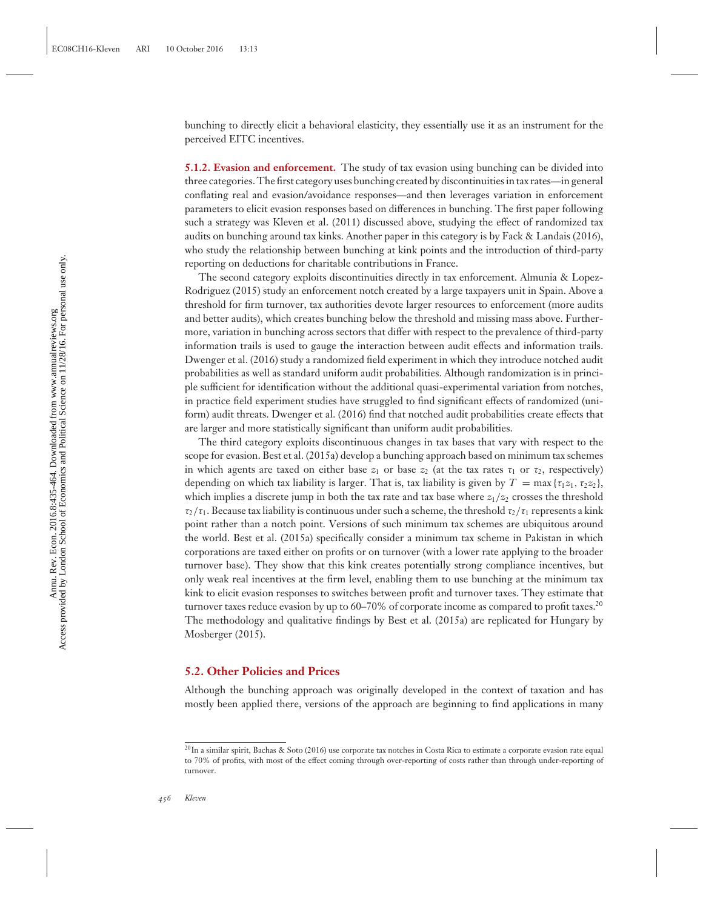bunching to directly elicit a behavioral elasticity, they essentially use it as an instrument for the perceived EITC incentives.

**5.1.2. Evasion and enforcement.** The study of tax evasion using bunching can be divided into three categories. The first category uses bunching created by discontinuities in tax rates—in general conflating real and evasion/avoidance responses—and then leverages variation in enforcement parameters to elicit evasion responses based on differences in bunching. The first paper following such a strategy was Kleven et al. (2011) discussed above, studying the effect of randomized tax audits on bunching around tax kinks. Another paper in this category is by Fack & Landais (2016), who study the relationship between bunching at kink points and the introduction of third-party reporting on deductions for charitable contributions in France.

The second category exploits discontinuities directly in tax enforcement. Almunia & Lopez-Rodriguez (2015) study an enforcement notch created by a large taxpayers unit in Spain. Above a threshold for firm turnover, tax authorities devote larger resources to enforcement (more audits and better audits), which creates bunching below the threshold and missing mass above. Furthermore, variation in bunching across sectors that differ with respect to the prevalence of third-party information trails is used to gauge the interaction between audit effects and information trails. Dwenger et al. (2016) study a randomized field experiment in which they introduce notched audit probabilities as well as standard uniform audit probabilities. Although randomization is in principle sufficient for identification without the additional quasi-experimental variation from notches, in practice field experiment studies have struggled to find significant effects of randomized (uniform) audit threats. Dwenger et al. (2016) find that notched audit probabilities create effects that are larger and more statistically significant than uniform audit probabilities.

The third category exploits discontinuous changes in tax bases that vary with respect to the scope for evasion. Best et al. (2015a) develop a bunching approach based on minimum tax schemes in which agents are taxed on either base  $z_1$  or base  $z_2$  (at the tax rates  $\tau_1$  or  $\tau_2$ , respectively) depending on which tax liability is larger. That is, tax liability is given by  $T = \max\{\tau_1 z_1, \tau_2 z_2\}$ , which implies a discrete jump in both the tax rate and tax base where  $z_1/z_2$  crosses the threshold  $\tau_2/\tau_1$ . Because tax liability is continuous under such a scheme, the threshold  $\tau_2/\tau_1$  represents a kink point rather than a notch point. Versions of such minimum tax schemes are ubiquitous around the world. Best et al. (2015a) specifically consider a minimum tax scheme in Pakistan in which corporations are taxed either on profits or on turnover (with a lower rate applying to the broader turnover base). They show that this kink creates potentially strong compliance incentives, but only weak real incentives at the firm level, enabling them to use bunching at the minimum tax kink to elicit evasion responses to switches between profit and turnover taxes. They estimate that turnover taxes reduce evasion by up to 60–70% of corporate income as compared to profit taxes.<sup>20</sup> The methodology and qualitative findings by Best et al. (2015a) are replicated for Hungary by Mosberger (2015).

#### **5.2. Other Policies and Prices**

Although the bunching approach was originally developed in the context of taxation and has mostly been applied there, versions of the approach are beginning to find applications in many

<sup>&</sup>lt;sup>20</sup>In a similar spirit, Bachas & Soto (2016) use corporate tax notches in Costa Rica to estimate a corporate evasion rate equal to 70% of profits, with most of the effect coming through over-reporting of costs rather than through under-reporting of turnover.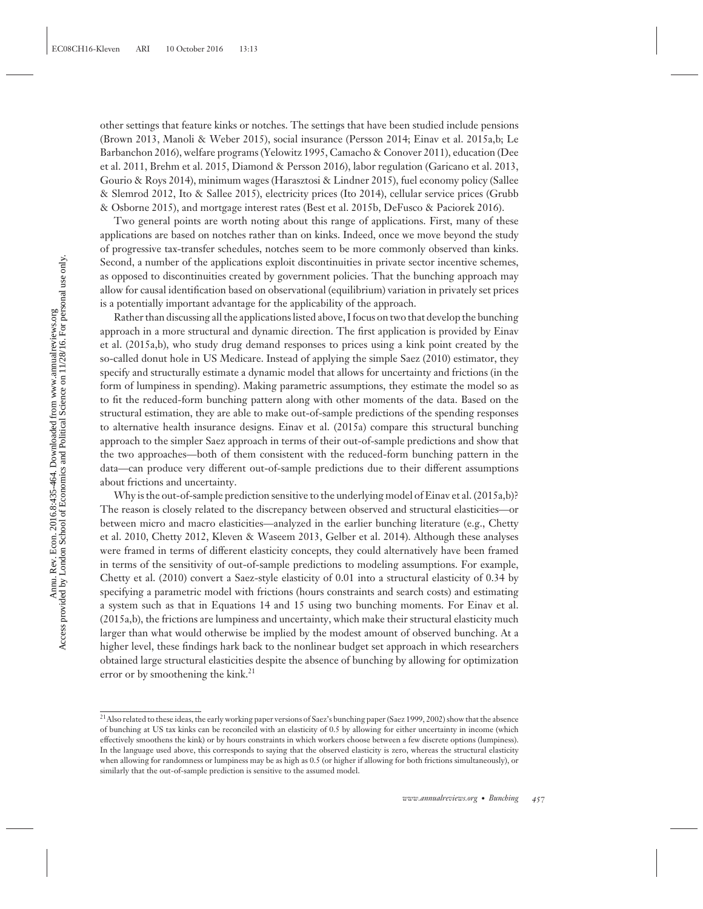other settings that feature kinks or notches. The settings that have been studied include pensions (Brown 2013, Manoli & Weber 2015), social insurance (Persson 2014; Einav et al. 2015a,b; Le Barbanchon 2016), welfare programs (Yelowitz 1995, Camacho & Conover 2011), education (Dee et al. 2011, Brehm et al. 2015, Diamond & Persson 2016), labor regulation (Garicano et al. 2013, Gourio & Roys 2014), minimum wages (Harasztosi & Lindner 2015), fuel economy policy (Sallee & Slemrod 2012, Ito & Sallee 2015), electricity prices (Ito 2014), cellular service prices (Grubb & Osborne 2015), and mortgage interest rates (Best et al. 2015b, DeFusco & Paciorek 2016).

Two general points are worth noting about this range of applications. First, many of these applications are based on notches rather than on kinks. Indeed, once we move beyond the study of progressive tax-transfer schedules, notches seem to be more commonly observed than kinks. Second, a number of the applications exploit discontinuities in private sector incentive schemes, as opposed to discontinuities created by government policies. That the bunching approach may allow for causal identification based on observational (equilibrium) variation in privately set prices is a potentially important advantage for the applicability of the approach.

Rather than discussing all the applications listed above, I focus on two that develop the bunching approach in a more structural and dynamic direction. The first application is provided by Einav et al. (2015a,b), who study drug demand responses to prices using a kink point created by the so-called donut hole in US Medicare. Instead of applying the simple Saez (2010) estimator, they specify and structurally estimate a dynamic model that allows for uncertainty and frictions (in the form of lumpiness in spending). Making parametric assumptions, they estimate the model so as to fit the reduced-form bunching pattern along with other moments of the data. Based on the structural estimation, they are able to make out-of-sample predictions of the spending responses to alternative health insurance designs. Einav et al. (2015a) compare this structural bunching approach to the simpler Saez approach in terms of their out-of-sample predictions and show that the two approaches—both of them consistent with the reduced-form bunching pattern in the data—can produce very different out-of-sample predictions due to their different assumptions about frictions and uncertainty.

Why is the out-of-sample prediction sensitive to the underlying model of Einav et al. (2015a,b)? The reason is closely related to the discrepancy between observed and structural elasticities—or between micro and macro elasticities—analyzed in the earlier bunching literature (e.g., Chetty et al. 2010, Chetty 2012, Kleven & Waseem 2013, Gelber et al. 2014). Although these analyses were framed in terms of different elasticity concepts, they could alternatively have been framed in terms of the sensitivity of out-of-sample predictions to modeling assumptions. For example, Chetty et al. (2010) convert a Saez-style elasticity of 0.01 into a structural elasticity of 0.34 by specifying a parametric model with frictions (hours constraints and search costs) and estimating a system such as that in Equations 14 and 15 using two bunching moments. For Einav et al. (2015a,b), the frictions are lumpiness and uncertainty, which make their structural elasticity much larger than what would otherwise be implied by the modest amount of observed bunching. At a higher level, these findings hark back to the nonlinear budget set approach in which researchers obtained large structural elasticities despite the absence of bunching by allowing for optimization error or by smoothening the kink.<sup>21</sup>

<sup>21</sup>Also related to these ideas, the early working paper versions of Saez's bunching paper (Saez 1999, 2002) show that the absence of bunching at US tax kinks can be reconciled with an elasticity of 0.5 by allowing for either uncertainty in income (which effectively smoothens the kink) or by hours constraints in which workers choose between a few discrete options (lumpiness). In the language used above, this corresponds to saying that the observed elasticity is zero, whereas the structural elasticity when allowing for randomness or lumpiness may be as high as 0.5 (or higher if allowing for both frictions simultaneously), or similarly that the out-of-sample prediction is sensitive to the assumed model.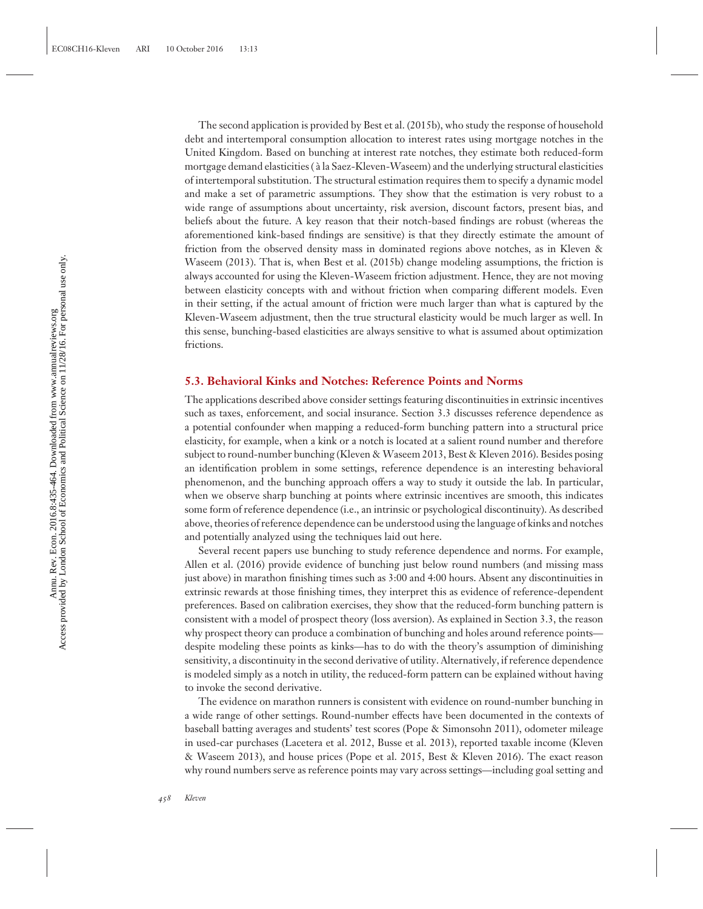The second application is provided by Best et al. (2015b), who study the response of household debt and intertemporal consumption allocation to interest rates using mortgage notches in the United Kingdom. Based on bunching at interest rate notches, they estimate both reduced-form mortgage demand elasticities ( $\lambda$  la Saez-Kleven-Waseem) and the underlying structural elasticities of intertemporal substitution. The structural estimation requires them to specify a dynamic model and make a set of parametric assumptions. They show that the estimation is very robust to a wide range of assumptions about uncertainty, risk aversion, discount factors, present bias, and beliefs about the future. A key reason that their notch-based findings are robust (whereas the aforementioned kink-based findings are sensitive) is that they directly estimate the amount of friction from the observed density mass in dominated regions above notches, as in Kleven & Waseem (2013). That is, when Best et al. (2015b) change modeling assumptions, the friction is always accounted for using the Kleven-Waseem friction adjustment. Hence, they are not moving between elasticity concepts with and without friction when comparing different models. Even in their setting, if the actual amount of friction were much larger than what is captured by the Kleven-Waseem adjustment, then the true structural elasticity would be much larger as well. In this sense, bunching-based elasticities are always sensitive to what is assumed about optimization frictions.

#### **5.3. Behavioral Kinks and Notches: Reference Points and Norms**

The applications described above consider settings featuring discontinuities in extrinsic incentives such as taxes, enforcement, and social insurance. Section 3.3 discusses reference dependence as a potential confounder when mapping a reduced-form bunching pattern into a structural price elasticity, for example, when a kink or a notch is located at a salient round number and therefore subject to round-number bunching (Kleven & Waseem 2013, Best & Kleven 2016). Besides posing an identification problem in some settings, reference dependence is an interesting behavioral phenomenon, and the bunching approach offers a way to study it outside the lab. In particular, when we observe sharp bunching at points where extrinsic incentives are smooth, this indicates some form of reference dependence (i.e., an intrinsic or psychological discontinuity). As described above, theories of reference dependence can be understood using the language of kinks and notches and potentially analyzed using the techniques laid out here.

Several recent papers use bunching to study reference dependence and norms. For example, Allen et al. (2016) provide evidence of bunching just below round numbers (and missing mass just above) in marathon finishing times such as 3:00 and 4:00 hours. Absent any discontinuities in extrinsic rewards at those finishing times, they interpret this as evidence of reference-dependent preferences. Based on calibration exercises, they show that the reduced-form bunching pattern is consistent with a model of prospect theory (loss aversion). As explained in Section 3.3, the reason why prospect theory can produce a combination of bunching and holes around reference points despite modeling these points as kinks—has to do with the theory's assumption of diminishing sensitivity, a discontinuity in the second derivative of utility. Alternatively, if reference dependence is modeled simply as a notch in utility, the reduced-form pattern can be explained without having to invoke the second derivative.

The evidence on marathon runners is consistent with evidence on round-number bunching in a wide range of other settings. Round-number effects have been documented in the contexts of baseball batting averages and students' test scores (Pope & Simonsohn 2011), odometer mileage in used-car purchases (Lacetera et al. 2012, Busse et al. 2013), reported taxable income (Kleven & Waseem 2013), and house prices (Pope et al. 2015, Best & Kleven 2016). The exact reason why round numbers serve as reference points may vary across settings—including goal setting and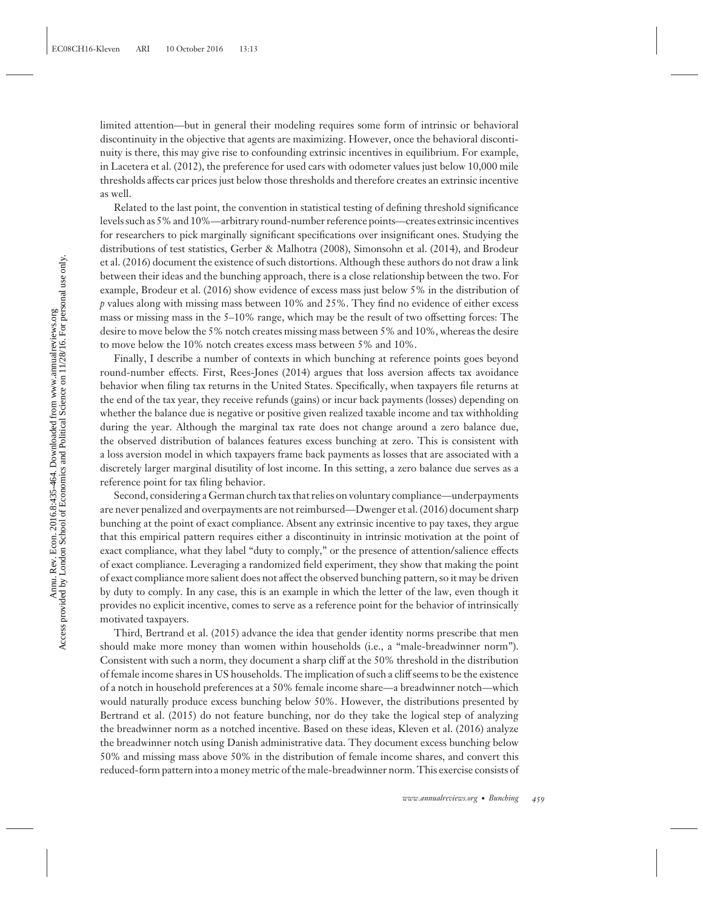limited attention—but in general their modeling requires some form of intrinsic or behavioral discontinuity in the objective that agents are maximizing. However, once the behavioral discontinuity is there, this may give rise to confounding extrinsic incentives in equilibrium. For example, in Lacetera et al. (2012), the preference for used cars with odometer values just below 10,000 mile thresholds affects car prices just below those thresholds and therefore creates an extrinsic incentive as well.

Related to the last point, the convention in statistical testing of defining threshold significance levels such as 5% and 10%—arbitrary round-number reference points—creates extrinsic incentives for researchers to pick marginally significant specifications over insignificant ones. Studying the distributions of test statistics, Gerber & Malhotra (2008), Simonsohn et al. (2014), and Brodeur et al. (2016) document the existence of such distortions. Although these authors do not draw a link between their ideas and the bunching approach, there is a close relationship between the two. For example, Brodeur et al. (2016) show evidence of excess mass just below 5% in the distribution of *p* values along with missing mass between 10% and 25%. They find no evidence of either excess mass or missing mass in the 5–10% range, which may be the result of two offsetting forces: The desire to move below the 5% notch creates missing mass between 5% and 10%, whereas the desire to move below the 10% notch creates excess mass between 5% and 10%.

Finally, I describe a number of contexts in which bunching at reference points goes beyond round-number effects. First, Rees-Jones (2014) argues that loss aversion affects tax avoidance behavior when filing tax returns in the United States. Specifically, when taxpayers file returns at the end of the tax year, they receive refunds (gains) or incur back payments (losses) depending on whether the balance due is negative or positive given realized taxable income and tax withholding during the year. Although the marginal tax rate does not change around a zero balance due, the observed distribution of balances features excess bunching at zero. This is consistent with a loss aversion model in which taxpayers frame back payments as losses that are associated with a discretely larger marginal disutility of lost income. In this setting, a zero balance due serves as a reference point for tax filing behavior.

Second, considering a German church tax that relies on voluntary compliance—underpayments are never penalized and overpayments are not reimbursed—Dwenger et al. (2016) document sharp bunching at the point of exact compliance. Absent any extrinsic incentive to pay taxes, they argue that this empirical pattern requires either a discontinuity in intrinsic motivation at the point of exact compliance, what they label "duty to comply," or the presence of attention/salience effects of exact compliance. Leveraging a randomized field experiment, they show that making the point of exact compliance more salient does not affect the observed bunching pattern, so it may be driven by duty to comply. In any case, this is an example in which the letter of the law, even though it provides no explicit incentive, comes to serve as a reference point for the behavior of intrinsically motivated taxpayers.

Third, Bertrand et al. (2015) advance the idea that gender identity norms prescribe that men should make more money than women within households (i.e., a "male-breadwinner norm"). Consistent with such a norm, they document a sharp cliff at the 50% threshold in the distribution of female income shares in US households. The implication of such a cliff seems to be the existence of a notch in household preferences at a 50% female income share—a breadwinner notch—which would naturally produce excess bunching below 50%. However, the distributions presented by Bertrand et al. (2015) do not feature bunching, nor do they take the logical step of analyzing the breadwinner norm as a notched incentive. Based on these ideas, Kleven et al. (2016) analyze the breadwinner notch using Danish administrative data. They document excess bunching below 50% and missing mass above 50% in the distribution of female income shares, and convert this reduced-form pattern into a money metric of the male-breadwinner norm. This exercise consists of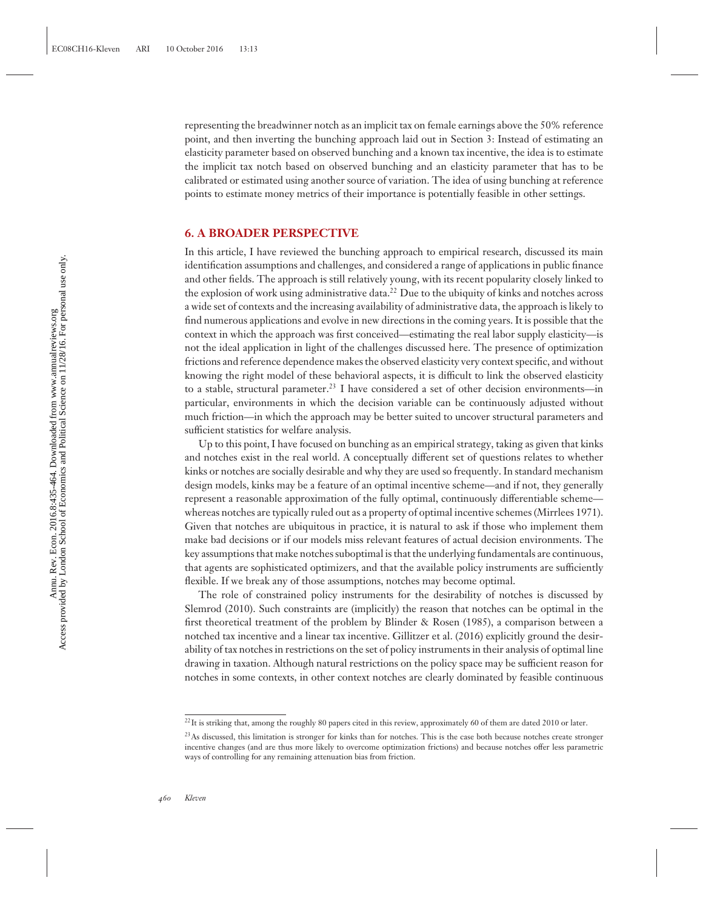representing the breadwinner notch as an implicit tax on female earnings above the 50% reference point, and then inverting the bunching approach laid out in Section 3: Instead of estimating an elasticity parameter based on observed bunching and a known tax incentive, the idea is to estimate the implicit tax notch based on observed bunching and an elasticity parameter that has to be calibrated or estimated using another source of variation. The idea of using bunching at reference points to estimate money metrics of their importance is potentially feasible in other settings.

#### **6. A BROADER PERSPECTIVE**

In this article, I have reviewed the bunching approach to empirical research, discussed its main identification assumptions and challenges, and considered a range of applications in public finance and other fields. The approach is still relatively young, with its recent popularity closely linked to the explosion of work using administrative data.<sup>22</sup> Due to the ubiquity of kinks and notches across a wide set of contexts and the increasing availability of administrative data, the approach is likely to find numerous applications and evolve in new directions in the coming years. It is possible that the context in which the approach was first conceived—estimating the real labor supply elasticity—is not the ideal application in light of the challenges discussed here. The presence of optimization frictions and reference dependence makes the observed elasticity very context specific, and without knowing the right model of these behavioral aspects, it is difficult to link the observed elasticity to a stable, structural parameter.<sup>23</sup> I have considered a set of other decision environments—in particular, environments in which the decision variable can be continuously adjusted without much friction—in which the approach may be better suited to uncover structural parameters and sufficient statistics for welfare analysis.

Up to this point, I have focused on bunching as an empirical strategy, taking as given that kinks and notches exist in the real world. A conceptually different set of questions relates to whether kinks or notches are socially desirable and why they are used so frequently. In standard mechanism design models, kinks may be a feature of an optimal incentive scheme—and if not, they generally represent a reasonable approximation of the fully optimal, continuously differentiable scheme whereas notches are typically ruled out as a property of optimal incentive schemes (Mirrlees 1971). Given that notches are ubiquitous in practice, it is natural to ask if those who implement them make bad decisions or if our models miss relevant features of actual decision environments. The key assumptions that make notches suboptimal is that the underlying fundamentals are continuous, that agents are sophisticated optimizers, and that the available policy instruments are sufficiently flexible. If we break any of those assumptions, notches may become optimal.

The role of constrained policy instruments for the desirability of notches is discussed by Slemrod (2010). Such constraints are (implicitly) the reason that notches can be optimal in the first theoretical treatment of the problem by Blinder & Rosen (1985), a comparison between a notched tax incentive and a linear tax incentive. Gillitzer et al. (2016) explicitly ground the desirability of tax notches in restrictions on the set of policy instruments in their analysis of optimal line drawing in taxation. Although natural restrictions on the policy space may be sufficient reason for notches in some contexts, in other context notches are clearly dominated by feasible continuous

<sup>&</sup>lt;sup>22</sup>It is striking that, among the roughly 80 papers cited in this review, approximately 60 of them are dated 2010 or later.

<sup>&</sup>lt;sup>23</sup>As discussed, this limitation is stronger for kinks than for notches. This is the case both because notches create stronger incentive changes (and are thus more likely to overcome optimization frictions) and because notches offer less parametric ways of controlling for any remaining attenuation bias from friction.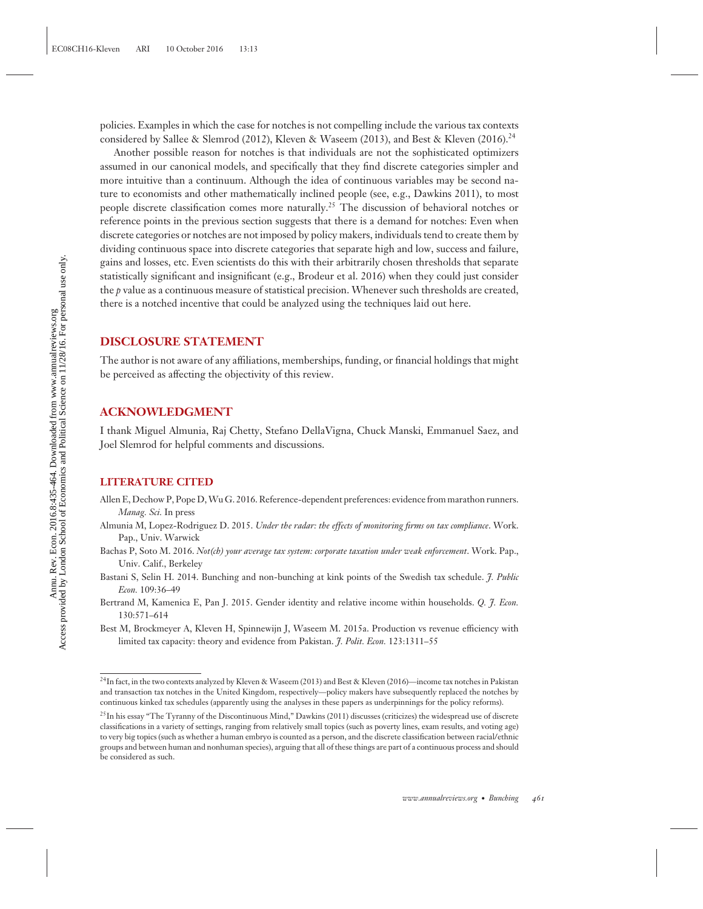policies. Examples in which the case for notches is not compelling include the various tax contexts considered by Sallee & Slemrod (2012), Kleven & Waseem (2013), and Best & Kleven (2016).<sup>24</sup>

Another possible reason for notches is that individuals are not the sophisticated optimizers assumed in our canonical models, and specifically that they find discrete categories simpler and more intuitive than a continuum. Although the idea of continuous variables may be second nature to economists and other mathematically inclined people (see, e.g., Dawkins 2011), to most people discrete classification comes more naturally.<sup>25</sup> The discussion of behavioral notches or reference points in the previous section suggests that there is a demand for notches: Even when discrete categories or notches are not imposed by policy makers, individuals tend to create them by dividing continuous space into discrete categories that separate high and low, success and failure, gains and losses, etc. Even scientists do this with their arbitrarily chosen thresholds that separate statistically significant and insignificant (e.g., Brodeur et al. 2016) when they could just consider the *p* value as a continuous measure of statistical precision. Whenever such thresholds are created, there is a notched incentive that could be analyzed using the techniques laid out here.

#### **DISCLOSURE STATEMENT**

The author is not aware of any affiliations, memberships, funding, or financial holdings that might be perceived as affecting the objectivity of this review.

#### **ACKNOWLEDGMENT**

I thank Miguel Almunia, Raj Chetty, Stefano DellaVigna, Chuck Manski, Emmanuel Saez, and Joel Slemrod for helpful comments and discussions.

#### **LITERATURE CITED**

- Allen E, Dechow P, Pope D,Wu G. 2016. Reference-dependent preferences: evidence from marathon runners. *Manag. Sci.* In press
- Almunia M, Lopez-Rodriguez D. 2015. *Under the radar: the effects of monitoring firms on tax compliance*. Work. Pap., Univ. Warwick
- Bachas P, Soto M. 2016. *Not(ch) your average tax system: corporate taxation under weak enforcement*. Work. Pap., Univ. Calif., Berkeley
- Bastani S, Selin H. 2014. Bunching and non-bunching at kink points of the Swedish tax schedule. *J. Public Econ.* 109:36–49
- Bertrand M, Kamenica E, Pan J. 2015. Gender identity and relative income within households. *Q. J. Econ.* 130:571–614
- Best M, Brockmeyer A, Kleven H, Spinnewijn J, Waseem M. 2015a. Production vs revenue efficiency with limited tax capacity: theory and evidence from Pakistan. *J. Polit. Econ.* 123:1311–55

<sup>24</sup>In fact, in the two contexts analyzed by Kleven & Waseem (2013) and Best & Kleven (2016)—income tax notches in Pakistan and transaction tax notches in the United Kingdom, respectively—policy makers have subsequently replaced the notches by continuous kinked tax schedules (apparently using the analyses in these papers as underpinnings for the policy reforms).

<sup>&</sup>lt;sup>25</sup>In his essay "The Tyranny of the Discontinuous Mind," Dawkins (2011) discusses (criticizes) the widespread use of discrete classifications in a variety of settings, ranging from relatively small topics (such as poverty lines, exam results, and voting age) to very big topics (such as whether a human embryo is counted as a person, and the discrete classification between racial/ethnic groups and between human and nonhuman species), arguing that all of these things are part of a continuous process and should be considered as such.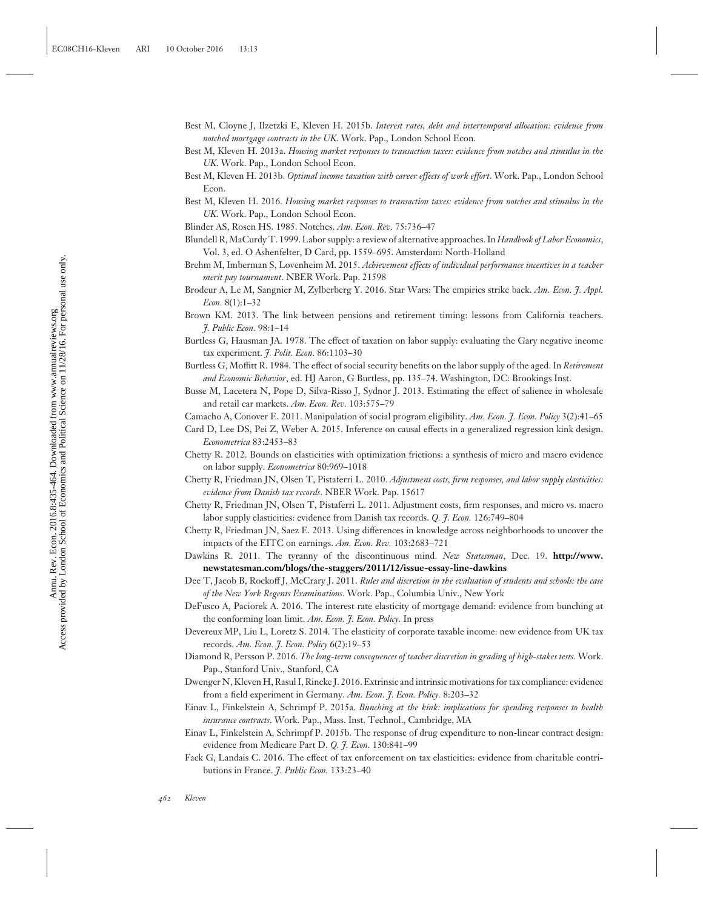- Best M, Cloyne J, Ilzetzki E, Kleven H. 2015b. *Interest rates, debt and intertemporal allocation: evidence from notched mortgage contracts in the UK*. Work. Pap., London School Econ.
- Best M, Kleven H. 2013a. *Housing market responses to transaction taxes: evidence from notches and stimulus in the UK*. Work. Pap., London School Econ.
- Best M, Kleven H. 2013b. *Optimal income taxation with career effects of work effort*. Work. Pap., London School Econ.
- Best M, Kleven H. 2016. *Housing market responses to transaction taxes: evidence from notches and stimulus in the UK*. Work. Pap., London School Econ.
- Blinder AS, Rosen HS. 1985. Notches. *Am. Econ. Rev.* 75:736–47
- Blundell R, MaCurdy T. 1999. Labor supply: a review of alternative approaches. In *Handbook of Labor Economics*, Vol. 3, ed. O Ashenfelter, D Card, pp. 1559–695. Amsterdam: North-Holland
- Brehm M, Imberman S, Lovenheim M. 2015. *Achievement effects of individual performance incentives in a teacher merit pay tournament*. NBER Work. Pap. 21598
- Brodeur A, Le M, Sangnier M, Zylberberg Y. 2016. Star Wars: The empirics strike back. *Am. Econ. J. Appl. Econ.* 8(1):1–32
- Brown KM. 2013. The link between pensions and retirement timing: lessons from California teachers. *J. Public Econ.* 98:1–14
- Burtless G, Hausman JA. 1978. The effect of taxation on labor supply: evaluating the Gary negative income tax experiment. *J. Polit. Econ.* 86:1103–30
- Burtless G, Moffitt R. 1984. The effect of social security benefits on the labor supply of the aged. In *Retirement and Economic Behavior*, ed. HJ Aaron, G Burtless, pp. 135–74. Washington, DC: Brookings Inst.
- Busse M, Lacetera N, Pope D, Silva-Risso J, Sydnor J. 2013. Estimating the effect of salience in wholesale and retail car markets. *Am. Econ. Rev.* 103:575–79
- Camacho A, Conover E. 2011. Manipulation of social program eligibility. *Am. Econ. J. Econ. Policy* 3(2):41–65
- Card D, Lee DS, Pei Z, Weber A. 2015. Inference on causal effects in a generalized regression kink design. *Econometrica* 83:2453–83
- Chetty R. 2012. Bounds on elasticities with optimization frictions: a synthesis of micro and macro evidence on labor supply. *Econometrica* 80:969–1018
- Chetty R, Friedman JN, Olsen T, Pistaferri L. 2010. *Adjustment costs, firm responses, and labor supply elasticities: evidence from Danish tax records*. NBER Work. Pap. 15617
- Chetty R, Friedman JN, Olsen T, Pistaferri L. 2011. Adjustment costs, firm responses, and micro vs. macro labor supply elasticities: evidence from Danish tax records. *Q. J. Econ.* 126:749–804
- Chetty R, Friedman JN, Saez E. 2013. Using differences in knowledge across neighborhoods to uncover the impacts of the EITC on earnings. *Am. Econ. Rev.* 103:2683–721
- Dawkins R. 2011. The tyranny of the discontinuous mind. *New Statesman*, Dec. 19. **[http://www.](http://www.newstatesman.com/blogs/the-staggers/2011/12/issue-essay-line-dawkins) [newstatesman.com/blogs/the-staggers/2011/12/issue-essay-line-dawkins](http://www.newstatesman.com/blogs/the-staggers/2011/12/issue-essay-line-dawkins)**
- Dee T, Jacob B, Rockoff J, McCrary J. 2011. *Rules and discretion in the evaluation of students and schools: the case of the New York Regents Examinations*. Work. Pap., Columbia Univ., New York
- DeFusco A, Paciorek A. 2016. The interest rate elasticity of mortgage demand: evidence from bunching at the conforming loan limit. *Am. Econ. J. Econ. Policy.* In press
- Devereux MP, Liu L, Loretz S. 2014. The elasticity of corporate taxable income: new evidence from UK tax records. *Am. Econ. J. Econ. Policy* 6(2):19–53
- Diamond R, Persson P. 2016. *The long-term consequences of teacher discretion in grading of high-stakes tests*. Work. Pap., Stanford Univ., Stanford, CA
- Dwenger N, Kleven H, Rasul I, Rincke J. 2016. Extrinsic and intrinsic motivations for tax compliance: evidence from a field experiment in Germany. *Am. Econ. J. Econ. Policy.* 8:203–32
- Einav L, Finkelstein A, Schrimpf P. 2015a. *Bunching at the kink: implications for spending responses to health insurance contracts*. Work. Pap., Mass. Inst. Technol., Cambridge, MA
- Einav L, Finkelstein A, Schrimpf P. 2015b. The response of drug expenditure to non-linear contract design: evidence from Medicare Part D. *Q. J. Econ.* 130:841–99
- Fack G, Landais C. 2016. The effect of tax enforcement on tax elasticities: evidence from charitable contributions in France. *J. Public Econ.* 133:23–40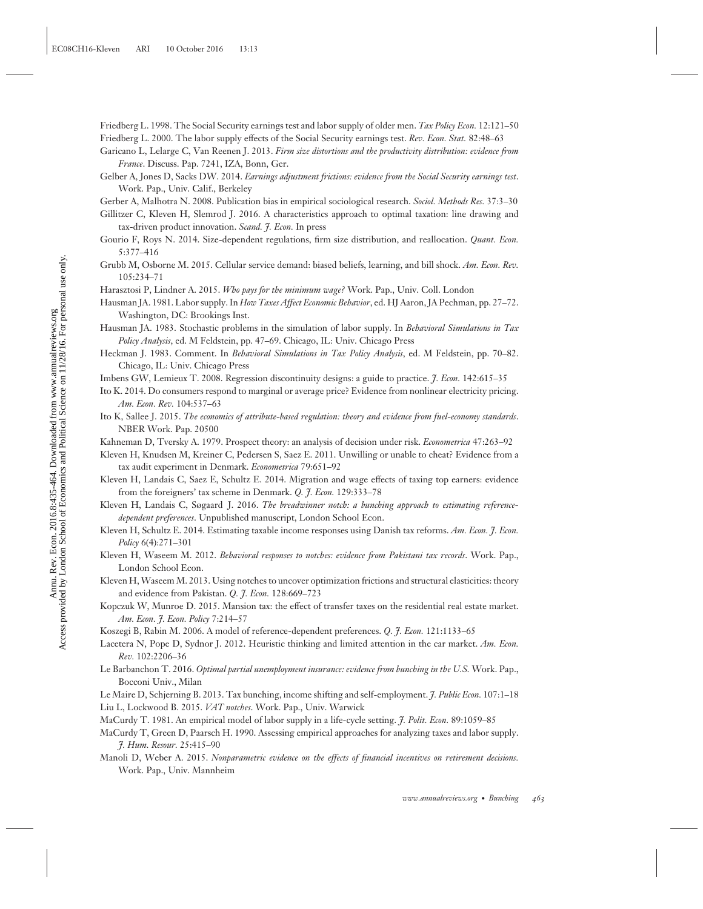- Friedberg L. 1998. The Social Security earnings test and labor supply of older men. *Tax Policy Econ.* 12:121–50
- Friedberg L. 2000. The labor supply effects of the Social Security earnings test. *Rev. Econ. Stat.* 82:48–63
- Garicano L, Lelarge C, Van Reenen J. 2013. *Firm size distortions and the productivity distribution: evidence from France*. Discuss. Pap. 7241, IZA, Bonn, Ger.
- Gelber A, Jones D, Sacks DW. 2014. *Earnings adjustment frictions: evidence from the Social Security earnings test*. Work. Pap., Univ. Calif., Berkeley
- Gerber A, Malhotra N. 2008. Publication bias in empirical sociological research. *Sociol. Methods Res.* 37:3–30
- Gillitzer C, Kleven H, Slemrod J. 2016. A characteristics approach to optimal taxation: line drawing and tax-driven product innovation. *Scand. J. Econ.* In press
- Gourio F, Roys N. 2014. Size-dependent regulations, firm size distribution, and reallocation. *Quant. Econ.* 5:377–416
- Grubb M, Osborne M. 2015. Cellular service demand: biased beliefs, learning, and bill shock. *Am. Econ. Rev.* 105:234–71
- Harasztosi P, Lindner A. 2015. *Who pays for the minimum wage?* Work. Pap., Univ. Coll. London
- Hausman JA. 1981. Labor supply. In *How Taxes Affect Economic Behavior*, ed. HJ Aaron, JA Pechman, pp. 27–72. Washington, DC: Brookings Inst.
- Hausman JA. 1983. Stochastic problems in the simulation of labor supply. In *Behavioral Simulations in Tax Policy Analysis*, ed. M Feldstein, pp. 47–69. Chicago, IL: Univ. Chicago Press
- Heckman J. 1983. Comment. In *Behavioral Simulations in Tax Policy Analysis*, ed. M Feldstein, pp. 70–82. Chicago, IL: Univ. Chicago Press
- Imbens GW, Lemieux T. 2008. Regression discontinuity designs: a guide to practice. *J. Econ.* 142:615–35
- Ito K. 2014. Do consumers respond to marginal or average price? Evidence from nonlinear electricity pricing. *Am. Econ. Rev.* 104:537–63
- Ito K, Sallee J. 2015. *The economics of attribute-based regulation: theory and evidence from fuel-economy standards*. NBER Work. Pap. 20500
- Kahneman D, Tversky A. 1979. Prospect theory: an analysis of decision under risk. *Econometrica* 47:263–92
- Kleven H, Knudsen M, Kreiner C, Pedersen S, Saez E. 2011. Unwilling or unable to cheat? Evidence from a tax audit experiment in Denmark. *Econometrica* 79:651–92
- Kleven H, Landais C, Saez E, Schultz E. 2014. Migration and wage effects of taxing top earners: evidence from the foreigners' tax scheme in Denmark. *Q. J. Econ.* 129:333–78
- Kleven H, Landais C, Søgaard J. 2016. *The breadwinner notch: a bunching approach to estimating referencedependent preferences*. Unpublished manuscript, London School Econ.
- Kleven H, Schultz E. 2014. Estimating taxable income responses using Danish tax reforms. *Am. Econ. J. Econ. Policy* 6(4):271–301
- Kleven H, Waseem M. 2012. *Behavioral responses to notches: evidence from Pakistani tax records*. Work. Pap., London School Econ.
- Kleven H, Waseem M. 2013. Using notches to uncover optimization frictions and structural elasticities: theory and evidence from Pakistan. *Q. J. Econ.* 128:669–723
- Kopczuk W, Munroe D. 2015. Mansion tax: the effect of transfer taxes on the residential real estate market. *Am. Econ. J. Econ. Policy* 7:214–57
- Koszegi B, Rabin M. 2006. A model of reference-dependent preferences. *Q. J. Econ.* 121:1133–65
- Lacetera N, Pope D, Sydnor J. 2012. Heuristic thinking and limited attention in the car market. *Am. Econ. Rev.* 102:2206–36
- Le Barbanchon T. 2016. *Optimal partial unemployment insurance: evidence from bunching in the U.S.* Work. Pap., Bocconi Univ., Milan
- Le Maire D, Schjerning B. 2013. Tax bunching, income shifting and self-employment. *J. Public Econ.* 107:1–18 Liu L, Lockwood B. 2015. *VAT notches*. Work. Pap., Univ. Warwick
- MaCurdy T. 1981. An empirical model of labor supply in a life-cycle setting. *J. Polit. Econ.* 89:1059–85
- MaCurdy T, Green D, Paarsch H. 1990. Assessing empirical approaches for analyzing taxes and labor supply. *J. Hum. Resour.* 25:415–90
- Manoli D, Weber A. 2015. *Nonparametric evidence on the effects of financial incentives on retirement decisions.* Work. Pap., Univ. Mannheim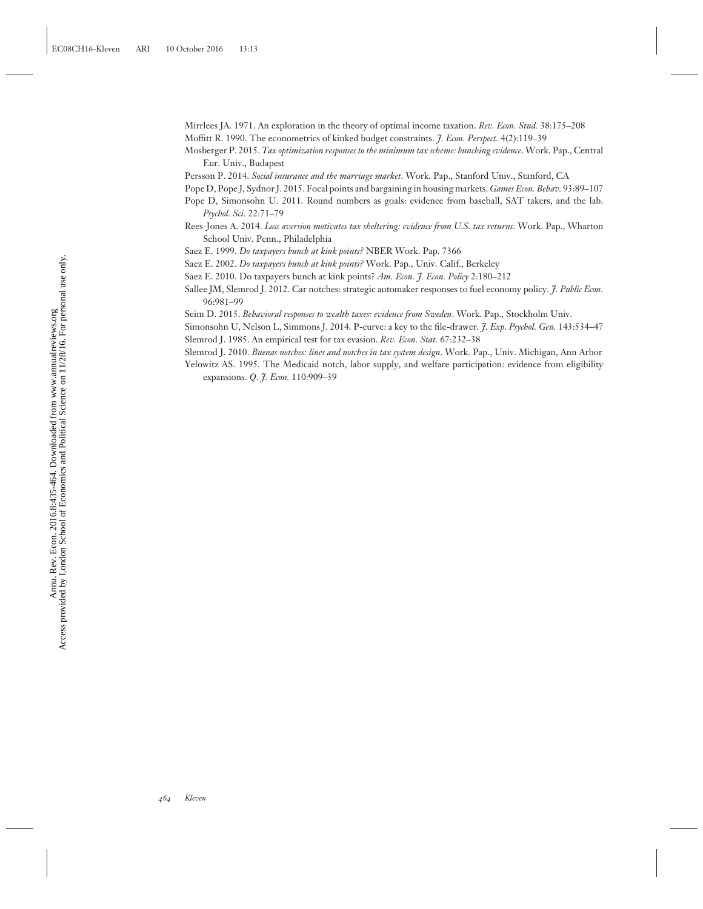Mirrlees JA. 1971. An exploration in the theory of optimal income taxation. *Rev. Econ. Stud.* 38:175–208 Moffitt R. 1990. The econometrics of kinked budget constraints. *J. Econ. Perspect.* 4(2):119–39

- Mosberger P. 2015. *Tax optimization responses to the minimum tax scheme: bunching evidence*. Work. Pap., Central Eur. Univ., Budapest
- Persson P. 2014. *Social insurance and the marriage market*. Work. Pap., Stanford Univ., Stanford, CA
- Pope D, Pope J, Sydnor J. 2015. Focal points and bargaining in housing markets. *Games Econ. Behav.* 93:89–107
- Pope D, Simonsohn U. 2011. Round numbers as goals: evidence from baseball, SAT takers, and the lab. *Psychol. Sci.* 22:71–79
- Rees-Jones A. 2014. *Loss aversion motivates tax sheltering: evidence from U.S. tax returns.* Work. Pap., Wharton School Univ. Penn., Philadelphia
- Saez E. 1999. *Do taxpayers bunch at kink points?* NBER Work. Pap. 7366
- Saez E. 2002. *Do taxpayers bunch at kink points?* Work. Pap., Univ. Calif., Berkeley
- Saez E. 2010. Do taxpayers bunch at kink points? *Am. Econ. J. Econ. Policy* 2:180–212
- Sallee JM, Slemrod J. 2012. Car notches: strategic automaker responses to fuel economy policy. *J. Public Econ.* 96:981–99
- Seim D. 2015. *Behavioral responses to wealth taxes: evidence from Sweden*. Work. Pap., Stockholm Univ.
- Simonsohn U, Nelson L, Simmons J. 2014. P-curve: a key to the file-drawer. *J. Exp. Psychol. Gen.* 143:534–47 Slemrod J. 1985. An empirical test for tax evasion. *Rev. Econ. Stat.* 67:232–38
- Slemrod J. 2010. *Buenas notches: lines and notches in tax system design*. Work. Pap., Univ. Michigan, Ann Arbor
- Yelowitz AS. 1995. The Medicaid notch, labor supply, and welfare participation: evidence from eligibility expansions. *Q. J. Econ.* 110:909–39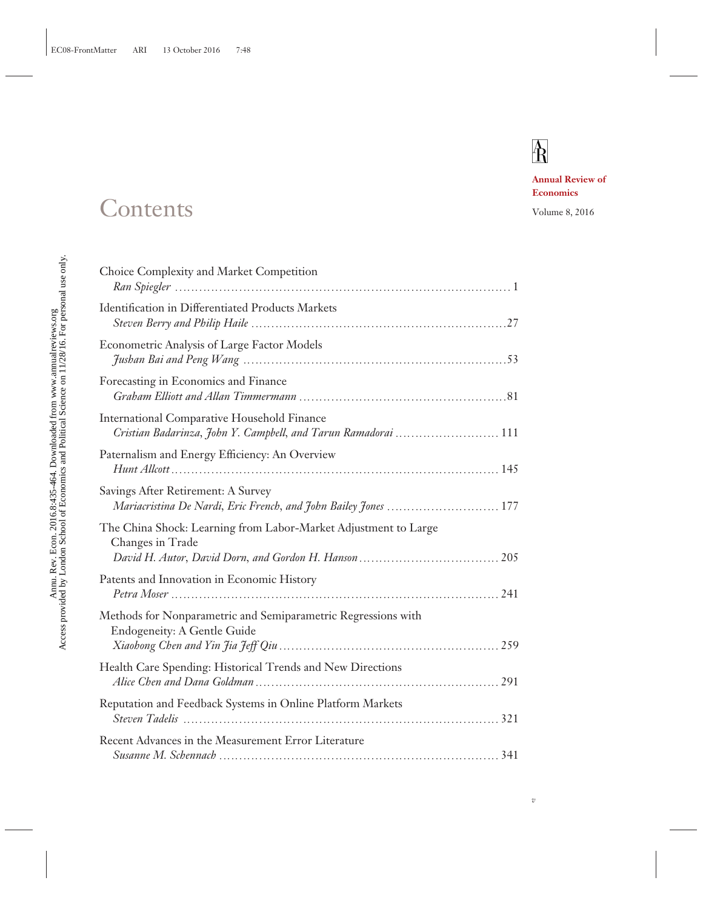## $\mathbb{A}$

**Annual Review of Economics**

### Contents Volume 8, 2016

| Choice Complexity and Market Competition                                                                             |
|----------------------------------------------------------------------------------------------------------------------|
| Identification in Differentiated Products Markets                                                                    |
| Econometric Analysis of Large Factor Models                                                                          |
| Forecasting in Economics and Finance                                                                                 |
| <b>International Comparative Household Finance</b><br>Cristian Badarinza, John Y. Campbell, and Tarun Ramadorai  111 |
| Paternalism and Energy Efficiency: An Overview                                                                       |
| Savings After Retirement: A Survey<br>Mariacristina De Nardi, Eric French, and John Bailey Jones  177                |
| The China Shock: Learning from Labor-Market Adjustment to Large<br>Changes in Trade                                  |
| Patents and Innovation in Economic History                                                                           |
| Methods for Nonparametric and Semiparametric Regressions with<br><b>Endogeneity: A Gentle Guide</b>                  |
| Health Care Spending: Historical Trends and New Directions                                                           |
| Reputation and Feedback Systems in Online Platform Markets                                                           |
| Recent Advances in the Measurement Error Literature                                                                  |